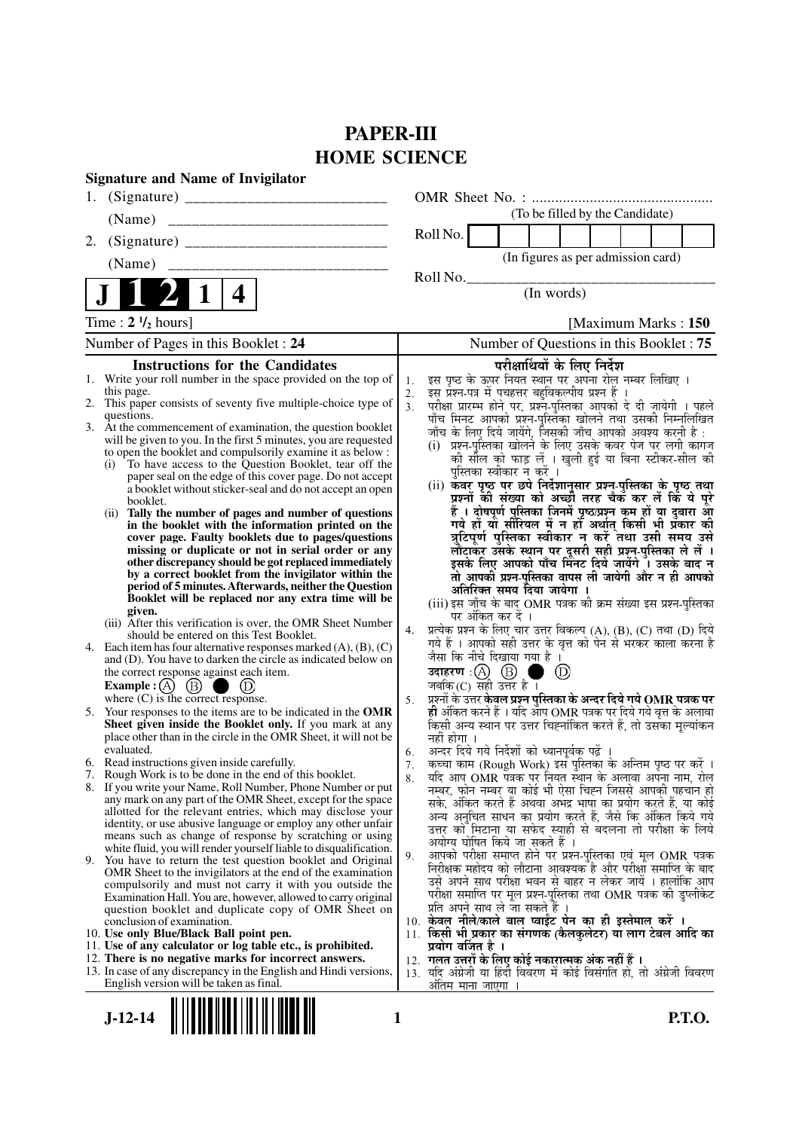# **PAPER-III HOME SCIENCE**

|    | <b>Signature and Name of Invigilator</b>                                                                                                                                                                                                                                                                                                                                                                                                                                                                                                                                                                                                                                                                                                                                                                                                                                                                                                                                                                                                                               |                |                                                                                                                                                                                                                                                                                                                                                                                                                                                                                                                                                                                                                                                                                                                                                                                                                                                                                                                                                                                                                        |
|----|------------------------------------------------------------------------------------------------------------------------------------------------------------------------------------------------------------------------------------------------------------------------------------------------------------------------------------------------------------------------------------------------------------------------------------------------------------------------------------------------------------------------------------------------------------------------------------------------------------------------------------------------------------------------------------------------------------------------------------------------------------------------------------------------------------------------------------------------------------------------------------------------------------------------------------------------------------------------------------------------------------------------------------------------------------------------|----------------|------------------------------------------------------------------------------------------------------------------------------------------------------------------------------------------------------------------------------------------------------------------------------------------------------------------------------------------------------------------------------------------------------------------------------------------------------------------------------------------------------------------------------------------------------------------------------------------------------------------------------------------------------------------------------------------------------------------------------------------------------------------------------------------------------------------------------------------------------------------------------------------------------------------------------------------------------------------------------------------------------------------------|
| 1. |                                                                                                                                                                                                                                                                                                                                                                                                                                                                                                                                                                                                                                                                                                                                                                                                                                                                                                                                                                                                                                                                        |                |                                                                                                                                                                                                                                                                                                                                                                                                                                                                                                                                                                                                                                                                                                                                                                                                                                                                                                                                                                                                                        |
|    | (Name)                                                                                                                                                                                                                                                                                                                                                                                                                                                                                                                                                                                                                                                                                                                                                                                                                                                                                                                                                                                                                                                                 |                | (To be filled by the Candidate)                                                                                                                                                                                                                                                                                                                                                                                                                                                                                                                                                                                                                                                                                                                                                                                                                                                                                                                                                                                        |
| 2. |                                                                                                                                                                                                                                                                                                                                                                                                                                                                                                                                                                                                                                                                                                                                                                                                                                                                                                                                                                                                                                                                        |                | Roll No.                                                                                                                                                                                                                                                                                                                                                                                                                                                                                                                                                                                                                                                                                                                                                                                                                                                                                                                                                                                                               |
|    | (Name)                                                                                                                                                                                                                                                                                                                                                                                                                                                                                                                                                                                                                                                                                                                                                                                                                                                                                                                                                                                                                                                                 |                | (In figures as per admission card)                                                                                                                                                                                                                                                                                                                                                                                                                                                                                                                                                                                                                                                                                                                                                                                                                                                                                                                                                                                     |
|    |                                                                                                                                                                                                                                                                                                                                                                                                                                                                                                                                                                                                                                                                                                                                                                                                                                                                                                                                                                                                                                                                        |                | Roll No.                                                                                                                                                                                                                                                                                                                                                                                                                                                                                                                                                                                                                                                                                                                                                                                                                                                                                                                                                                                                               |
|    | 4                                                                                                                                                                                                                                                                                                                                                                                                                                                                                                                                                                                                                                                                                                                                                                                                                                                                                                                                                                                                                                                                      |                | (In words)                                                                                                                                                                                                                                                                                                                                                                                                                                                                                                                                                                                                                                                                                                                                                                                                                                                                                                                                                                                                             |
|    | Time: $2 \frac{1}{2}$ hours]                                                                                                                                                                                                                                                                                                                                                                                                                                                                                                                                                                                                                                                                                                                                                                                                                                                                                                                                                                                                                                           |                | [Maximum Marks: 150]                                                                                                                                                                                                                                                                                                                                                                                                                                                                                                                                                                                                                                                                                                                                                                                                                                                                                                                                                                                                   |
|    | Number of Pages in this Booklet : 24                                                                                                                                                                                                                                                                                                                                                                                                                                                                                                                                                                                                                                                                                                                                                                                                                                                                                                                                                                                                                                   |                | Number of Questions in this Booklet: 75                                                                                                                                                                                                                                                                                                                                                                                                                                                                                                                                                                                                                                                                                                                                                                                                                                                                                                                                                                                |
|    | <b>Instructions for the Candidates</b><br>1. Write your roll number in the space provided on the top of<br>this page.<br>2. This paper consists of seventy five multiple-choice type of<br>questions.<br>3. At the commencement of examination, the question booklet<br>will be given to you. In the first 5 minutes, you are requested<br>to open the booklet and compulsorily examine it as below :<br>To have access to the Question Booklet, tear off the<br>(i)<br>paper seal on the edge of this cover page. Do not accept<br>a booklet without sticker-seal and do not accept an open<br>booklet.<br>Tally the number of pages and number of questions<br>(i)<br>in the booklet with the information printed on the<br>cover page. Faulty booklets due to pages/questions<br>missing or duplicate or not in serial order or any<br>other discrepancy should be got replaced immediately<br>by a correct booklet from the invigilator within the<br>period of 5 minutes. Afterwards, neither the Question<br>Booklet will be replaced nor any extra time will be | 1.<br>2.<br>3. | परीक्षार्थियों के लिए निर्देश<br>इस पृष्ठ के ऊपर नियत स्थान पर अपना रोल नम्बर लिखिए ।<br>इस प्रश्न-पत्र में पचहत्तर बहुविकल्पीय प्रश्न हैं ।<br>परीक्षा प्रारम्भ होने पर, प्रश्न-पुस्तिका आपको दे दी जायेगी । पहले<br>पाँच मिनट आपको प्रश्न-पुस्तिका खोलने तथा उसकी निम्नलिखित<br>जाँच के लिए दिये जायेंगे, जिसकी जाँच आपको अवश्य करनी है :<br>प्रश्न-पुस्तिका खोलने के लिए उसके कवर पेज पर लगी कागज<br>(i)<br>की सील को फाड़ लें । खुली हुई या बिना स्टीकर-सील की<br>पुस्तिका स्वीकार न करें ।<br>(ii) कवर पृष्ठ पर छपे निर्देशानुसार प्रश्न-पुस्तिका के पृष्ठ तथा<br>प्रश्नों की संख्या को अच्छों तरह चैकँ कर लें किं ये पूरे<br>हैं । दोषपूर्ण पुस्तिका जिनमें पृष्ठ/प्रश्न कम हों या दुबारा आ<br>गये हों यो सीरियल में न हों अर्थात् किसी भी प्रकार की<br>त्रुटिपूर्ण पुस्तिका स्वीकार न करें तथा उसी समय उसे<br>लौटाकर उसके स्थान पर दूसरी सही प्रश्न-पुस्तिका ले लें ।<br>इसके लिए आपको पाँच मिनट दिये जायेंगे । उसके बाद न<br>तो आपकी प्रश्न-पुस्तिका वापस ली जायेगी और न ही आपको<br>अतिरिक्त समय दिया जायेगा । |
|    | given.<br>(iii) After this verification is over, the OMR Sheet Number<br>should be entered on this Test Booklet.<br>4. Each item has four alternative responses marked $(A)$ , $(B)$ , $(C)$<br>and (D). You have to darken the circle as indicated below on<br>the correct response against each item.<br>Example : $(A)$ (B)<br>(D)<br>where $(C)$ is the correct response.                                                                                                                                                                                                                                                                                                                                                                                                                                                                                                                                                                                                                                                                                          | 4.<br>5.       | (iii) इस जाँच के बाद OMR पत्रक की क्रम संख्या इस प्रश्न-पुस्तिका<br>पर अंकित कर दें ।<br>प्रत्येक प्रश्न के लिए चार उत्तर विकल्प (A), (B), (C) तथा (D) दिये<br>गये हैं । आपको सही उत्तर के वृत्त को पेन से भरकर काला करना है<br>जैसा कि नीचे दिखाया गया है ।<br>उदाहरण: $(A)$ $(B)$<br>(D)<br>जबकि $(C)$ सही उत्तर है।<br>प्रश्नों के उत्तर <b>केवल प्रश्न पुस्तिका के अन्दर दिये गये OMR पत्रक पर</b>                                                                                                                                                                                                                                                                                                                                                                                                                                                                                                                                                                                                                 |
| 5. | Your responses to the items are to be indicated in the OMR<br>Sheet given inside the Booklet only. If you mark at any<br>place other than in the circle in the OMR Sheet, it will not be<br>evaluated.                                                                                                                                                                                                                                                                                                                                                                                                                                                                                                                                                                                                                                                                                                                                                                                                                                                                 | 6.             | ही अंकित करने हैं । यदि आप OMR पत्रक पर दिये गये वृत्त के अलावा<br>किसी अन्य स्थान पर उत्तर चिह्नांकित करते हैं, तो उसका मृल्यांकन<br>नहीं होगा ।<br>अन्दर दिये गये निर्देशों को ध्यानपूर्वक पढ़ें                                                                                                                                                                                                                                                                                                                                                                                                                                                                                                                                                                                                                                                                                                                                                                                                                     |
|    | 6. Read instructions given inside carefully.<br>7. Rough Work is to be done in the end of this booklet.<br>8. If you write your Name, Roll Number, Phone Number or put<br>any mark on any part of the OMR Sheet, except for the space<br>allotted for the relevant entries, which may disclose your<br>identity, or use abusive language or employ any other unfair<br>means such as change of response by scratching or using                                                                                                                                                                                                                                                                                                                                                                                                                                                                                                                                                                                                                                         | 7.<br>8.       | कच्चा काम (Rough Work) इस पुस्तिका के अन्तिम पृष्ठ पर करें ।<br>यदि आप OMR पत्रक पर नियंत स्थान के अलावा अपना नाम, रोल<br>नम्बर, फोन नम्बर या कोई भी ऐसा चिह्न जिससे आपकी पहचान हो<br>सके, अंकित करते हैं अथवा अभद्र भाषा का प्रयोग करते हैं, या कोई<br>अन्य अनचित साधन का प्रयोग करते हैं, जैसे कि अंकित किये गये<br>उत्तर को मिटाना या सफेद स्याही से बदलना तो परीक्षा के लिये<br>अयोग्य घोषित किये जा सकते हैं ।                                                                                                                                                                                                                                                                                                                                                                                                                                                                                                                                                                                                    |
|    | white fluid, you will render yourself liable to disqualification.<br>9. You have to return the test question booklet and Original<br>OMR Sheet to the invigilators at the end of the examination<br>compulsorily and must not carry it with you outside the<br>Examination Hall. You are, however, allowed to carry original<br>question booklet and duplicate copy of OMR Sheet on                                                                                                                                                                                                                                                                                                                                                                                                                                                                                                                                                                                                                                                                                    | 9.             | आपको परीक्षा समाप्त होने पर प्रश्न-पुस्तिका एवं मूल OMR पत्रक<br>निरीक्षक महोदय को लौटाना आवश्यक है और परीक्षा समाप्ति के बाद<br>उसे अपने साथ परीक्षा भवन से बाहर न लेकर जायें । हालांकि आप<br>परीक्षा समाप्ति पर मूल प्रश्न-पुस्तिका तथा OMR पत्रक की डुप्लीकेट<br>प्रति अपने साथ ले जा सकते हैं ।                                                                                                                                                                                                                                                                                                                                                                                                                                                                                                                                                                                                                                                                                                                    |
|    | conclusion of examination.<br>10. Use only Blue/Black Ball point pen.<br>11. Use of any calculator or log table etc., is prohibited.<br>12. There is no negative marks for incorrect answers.                                                                                                                                                                                                                                                                                                                                                                                                                                                                                                                                                                                                                                                                                                                                                                                                                                                                          |                | 10. केवल नीले/काले बाल प्वाईट पेन का ही इस्तेमाल करें ।<br>11. किसी भी प्रकार का संगणक (कैलकुलेटर) या लाग टेबल आदि का<br>प्रयोग वर्जित है ।<br>12. गलत उत्तरों के लिए कोई नकारात्मक अंक नहीं हैं ।                                                                                                                                                                                                                                                                                                                                                                                                                                                                                                                                                                                                                                                                                                                                                                                                                     |
|    | 13. In case of any discrepancy in the English and Hindi versions,<br>English version will be taken as final.                                                                                                                                                                                                                                                                                                                                                                                                                                                                                                                                                                                                                                                                                                                                                                                                                                                                                                                                                           |                | 13. यदि अंग्रेजी या हिंदी विवरण में कोई विसंगति हो, तो अंग्रेजी विवरण<br>अंतिम माना जाएगा                                                                                                                                                                                                                                                                                                                                                                                                                                                                                                                                                                                                                                                                                                                                                                                                                                                                                                                              |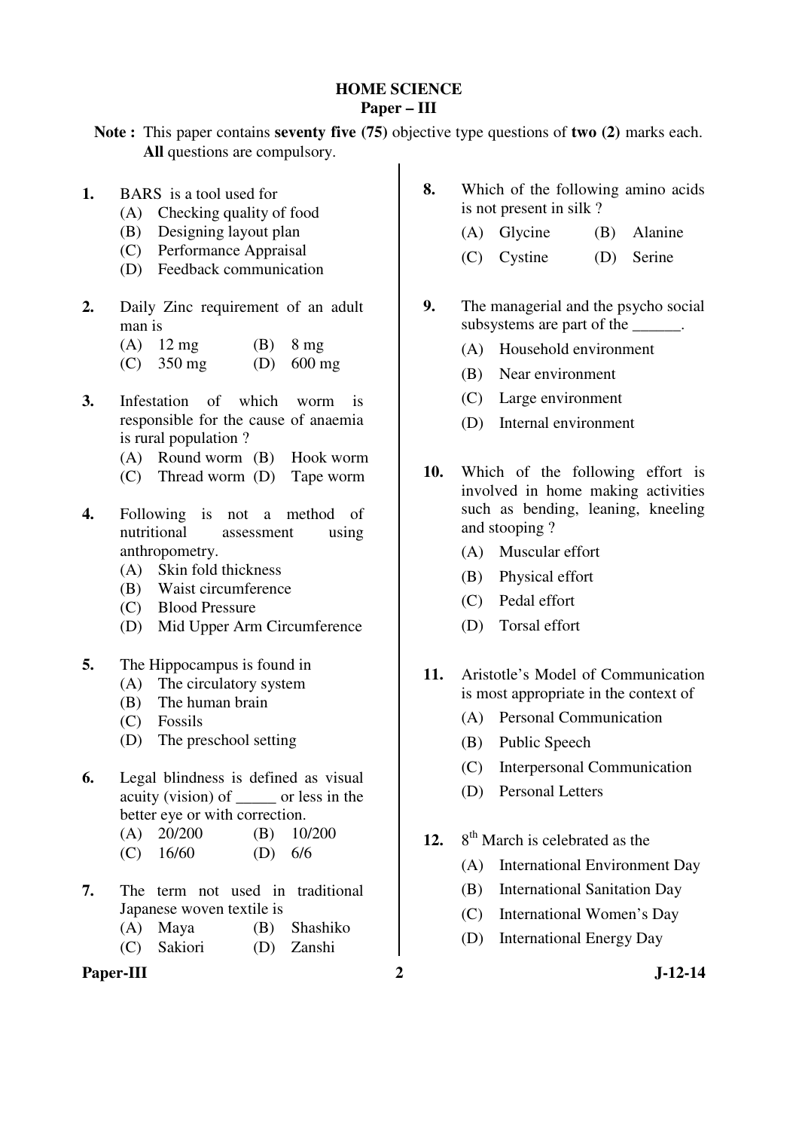#### **HOME SCIENCE Paper – III**

**Note :** This paper contains **seventy five (75)** objective type questions of **two (2)** marks each. **All** questions are compulsory.

- **1.** BARS is a tool used for
	- (A) Checking quality of food
	- (B) Designing layout plan
	- (C) Performance Appraisal
	- (D) Feedback communication
- **2.** Daily Zinc requirement of an adult man is
	- (A) 12 mg (B) 8 mg (C) 350 mg (D) 600 mg
- **3.** Infestation of which worm is responsible for the cause of anaemia is rural population ?
	- (A) Round worm (B) Hook worm
	- (C) Thread worm (D) Tape worm
- **4.** Following is not a method of nutritional assessment using anthropometry.
	- (A) Skin fold thickness
	- (B) Waist circumference
	- (C) Blood Pressure
	- (D) Mid Upper Arm Circumference
- **5.** The Hippocampus is found in
	- (A) The circulatory system
	- (B) The human brain
	- (C) Fossils
	- (D) The preschool setting
- **6.** Legal blindness is defined as visual acuity (vision) of \_\_\_\_\_ or less in the better eye or with correction.
	- (A) 20/200 (B) 10/200
	- (C) 16/60 (D) 6/6
- **7.** The term not used in traditional Japanese woven textile is
	- (A) Maya (B) Shashiko
	- (C) Sakiori (D) Zanshi

### Paper-III 2 J-12-14

- **8.** Which of the following amino acids is not present in silk ?
	- (A) Glycine (B) Alanine
	- (C) Cystine (D) Serine
- **9.** The managerial and the psycho social subsystems are part of the \_\_\_\_\_\_.
	- (A) Household environment
	- (B) Near environment
	- (C) Large environment
	- (D) Internal environment
- **10.** Which of the following effort is involved in home making activities such as bending, leaning, kneeling and stooping ?
	- (A) Muscular effort
	- (B) Physical effort
	- (C) Pedal effort
	- (D) Torsal effort
- **11.** Aristotle's Model of Communication is most appropriate in the context of
	- (A) Personal Communication
	- (B) Public Speech
	- (C) Interpersonal Communication
	- (D) Personal Letters
- 12. 8<sup>th</sup> March is celebrated as the
	- (A) International Environment Day
	- (B) International Sanitation Day
	- (C) International Women's Day
	- (D) International Energy Day
		-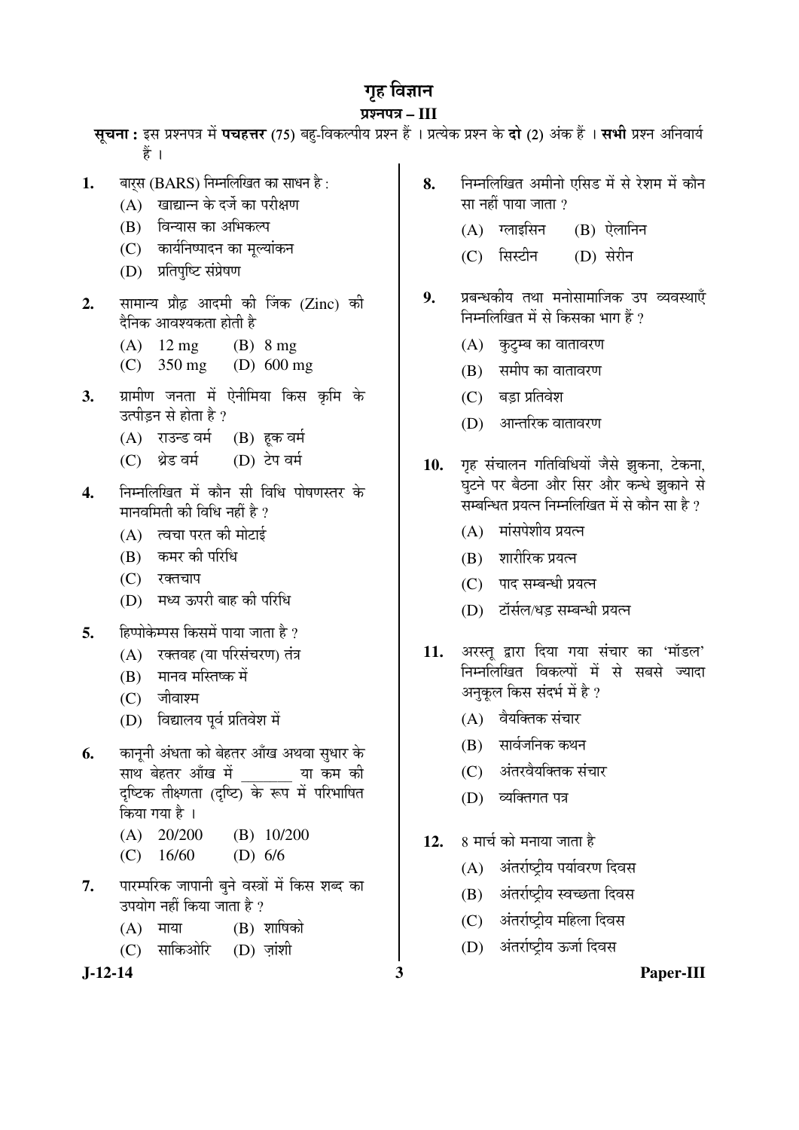# गृह विज्ञान

# प्रश्नपत्र – III

**सुचना:** इस प्रश्नपत्र में **पचहत्तर** (75) बह-विकल्पीय प्रश्न हैं । प्रत्येक प्रश्न के **दो** (2) अंक हैं । **सभी** प्रश्न अनिवार्य हें ।

- **1.** बारस (BARS) निम्नलिखित का साधन है :
	- (A) खाद्यान्न के दर्जे का परीक्षण
	- (B) विन्यास का अभिकल्प
	- (C) कार्यनिष्पादन का मूल्यांकन
	- (D) प्रतिपुष्टि संप्रेषण
- 2. सामान्य प्रौढ़ आदमी की जिंक (Zinc) की दैनिक आवश्यकता होती है
	- (A)  $12 \text{ mg}$  (B)  $8 \text{ mg}$
	- (C) 350 mg (D) 600 mg
- **3.** प्रामीण जनता में ऐनीमिया किस कृमि के उत्पीडन से होता है ?
	- (A) राउन्ड वर्म (B) हक वर्म
	- (C) थ्रेड वर्म (D) टेप वर्म
- 4. निम्नलिखित में कौन सी विधि पोषणस्तर के मानवमिती की विधि नहीं है  $\overline{v}$ 
	- $(A)$  त्वचा परत की मोटाई
	- (B) कमर की परिधि
	- (C) रक्तचाप
	- (D) मध्य ऊपरी बाह की परिधि
- 5. Ecuid Euden Fault van Trainer
	- $(A)$  रक्तवह $(B)$ या परिसंचरण) तंत्र
	- (B) मानव मस्तिष्क में
	- $(C)$  जीवाश्म
	- (D) विद्यालय पूर्व प्रतिवेश में
- **6.** कानूनी अंधता को बेहतर आँख अथवा सुधार के साथ बेहतर आँख में या कम की दृष्टिक तीक्ष्णता (दृष्टि) के रूप में परिभाषित किया गया है ।
	- (A) 20/200 (B) 10/200
	- (C) 16/60 (D) 6/6
- 7. पारम्परिक जापानी बूने वस्त्रों में किस शब्द का उपयोग नहीं किया जाता है ?
	- $(A)$  माया  $(B)$  शाषिको
	- (C) साकिओरि (D) जांशी

- **8.** ×®Ö´®Ö×»Ö×ÜÖŸÖ †´Öß®ÖÖê ‹×ÃÖ›ü ´Öë ÃÖê ¸êü¿Ö´Ö ´Öë ÛúÖî®Ö सा नहीं पाया जाता ?
	- $(A)$  ग्लाइसिन  $(B)$  ऐलानिन
	- (C) सिस्टीन (D) सेरीन
- 9. प्रबन्धकीय तथा मनोसामाजिक उप व्यवस्थाएँ निम्नलिखित में से किसका भाग हैं ?
	- $(A)$  कुटुम्ब का वातावरण
	- $(B)$  समीप का वातावरण
	- $(C)$  बड़ा प्रतिवेश
	- $(D)$  । आन्तरिक वातावरण
- 10. **गृह संचालन गतिविधियों जैसे झुकना, टेकना**, घटने पर बैठना और सिर और कन्धे झुकाने से सम्बन्धित प्रयत्न निम्नलिखित में से कौन सा है ?
	- $(A)$  मांसपेशीय प्रयत्न
	- (B) शारीरिक प्रयत्न
	- $(C)$  पाद सम्बन्धी प्रयत्न
	- (D) टॉर्सल/धड सम्बन्धी प्रयत्न
- 11. अरस्त् द्वारा दिया गया संचार का 'मॉडल' निम्नलिखित विकल्पों में से सबसे ज्यादा अनुकूल किस संदर्भ में है ?
	- $(A)$  वैयक्तिक संचार
	- $(B)$  सार्वजनिक कथन
	- (C) अंतरवैयक्तिक संचार
	- (D) व्यक्तिगत पत्र
- 12. 8 मार्च को मनाया जाता है
	- $(A)$  अंतर्राष्टीय पर्यावरण दिवस
	- (B) अंतर्राष्ट्रीय स्वच्छता दिवस
	- (C) अंतर्राष्ट्रीय महिला दिवस
	- (D) अंतर्राष्ट्रीय ऊर्जा दिवस

**J-12-14 3 Paper-III**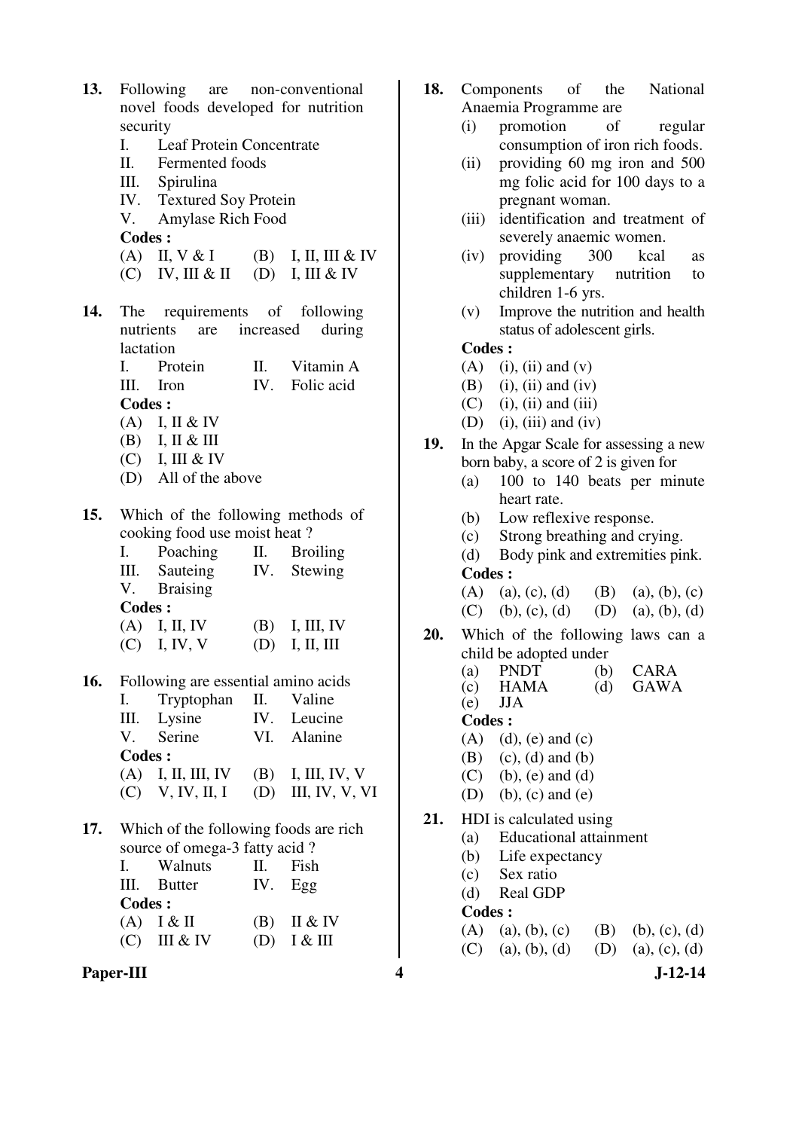| 13. |               | Following are non-conventional             |     |                                       |  |  |  |  |  |  |  |  |
|-----|---------------|--------------------------------------------|-----|---------------------------------------|--|--|--|--|--|--|--|--|
|     |               | novel foods developed for nutrition        |     |                                       |  |  |  |  |  |  |  |  |
|     | security      |                                            |     |                                       |  |  |  |  |  |  |  |  |
|     |               | I. Leaf Protein Concentrate                |     |                                       |  |  |  |  |  |  |  |  |
|     |               | II. Fermented foods                        |     |                                       |  |  |  |  |  |  |  |  |
|     |               | III. Spirulina<br>IV. Textured Soy Protein |     |                                       |  |  |  |  |  |  |  |  |
|     |               |                                            |     |                                       |  |  |  |  |  |  |  |  |
|     |               | V. Amylase Rich Food<br><b>Codes:</b>      |     |                                       |  |  |  |  |  |  |  |  |
|     |               |                                            |     | (A) II, V & I (B) I, II, III & IV     |  |  |  |  |  |  |  |  |
|     |               | $(C)$ IV, III & II $(D)$ I, III & IV       |     |                                       |  |  |  |  |  |  |  |  |
|     |               |                                            |     |                                       |  |  |  |  |  |  |  |  |
| 14. |               | The requirements of following              |     |                                       |  |  |  |  |  |  |  |  |
|     |               | nutrients are increased                    |     | during                                |  |  |  |  |  |  |  |  |
|     | lactation     |                                            |     |                                       |  |  |  |  |  |  |  |  |
|     |               | I. Protein                                 |     | II. Vitamin A                         |  |  |  |  |  |  |  |  |
|     |               | III. Iron                                  |     | IV. Folic acid                        |  |  |  |  |  |  |  |  |
|     | <b>Codes:</b> |                                            |     |                                       |  |  |  |  |  |  |  |  |
|     |               | $(A)$ I, II & IV                           |     |                                       |  |  |  |  |  |  |  |  |
|     |               | $(B)$ I, II & III                          |     |                                       |  |  |  |  |  |  |  |  |
|     |               | $(C)$ I, III & IV                          |     |                                       |  |  |  |  |  |  |  |  |
|     |               | (D) All of the above                       |     |                                       |  |  |  |  |  |  |  |  |
| 15. |               | Which of the following methods of          |     |                                       |  |  |  |  |  |  |  |  |
|     |               | cooking food use moist heat?               |     |                                       |  |  |  |  |  |  |  |  |
|     | I.            | Poaching II. Broiling                      |     |                                       |  |  |  |  |  |  |  |  |
|     |               | III. Sauteing IV. Stewing                  |     |                                       |  |  |  |  |  |  |  |  |
|     |               | V. Braising                                |     |                                       |  |  |  |  |  |  |  |  |
|     | <b>Codes:</b> |                                            |     |                                       |  |  |  |  |  |  |  |  |
|     |               | $(A)$ I, II, IV                            |     | $(B)$ I, III, IV                      |  |  |  |  |  |  |  |  |
|     |               | $(C)$ I, IV, V                             |     | $(D)$ I, II, III                      |  |  |  |  |  |  |  |  |
|     |               |                                            |     |                                       |  |  |  |  |  |  |  |  |
| 16. |               | Following are essential amino acids        |     |                                       |  |  |  |  |  |  |  |  |
|     | I. <b>I.</b>  | Tryptophan                                 | П.  | Valine                                |  |  |  |  |  |  |  |  |
|     | III.          | Lysine                                     |     | IV. Leucine                           |  |  |  |  |  |  |  |  |
|     |               | V. Serine                                  |     | VI. Alanine                           |  |  |  |  |  |  |  |  |
|     | <b>Codes:</b> |                                            |     |                                       |  |  |  |  |  |  |  |  |
|     |               | $(A)$ I, II, III, IV (B) I, III, IV, V     |     | $(C)$ V, IV, II, I (D) III, IV, V, VI |  |  |  |  |  |  |  |  |
|     |               |                                            |     |                                       |  |  |  |  |  |  |  |  |
| 17. |               | Which of the following foods are rich      |     |                                       |  |  |  |  |  |  |  |  |
|     |               | source of omega-3 fatty acid?              |     |                                       |  |  |  |  |  |  |  |  |
|     | I.            | Walnuts                                    | II. | Fish                                  |  |  |  |  |  |  |  |  |
|     | Ш.            | Butter                                     | IV. | Egg                                   |  |  |  |  |  |  |  |  |
|     | <b>Codes:</b> |                                            |     |                                       |  |  |  |  |  |  |  |  |
|     |               | $(A)$ $I & H$                              |     | $(B)$ II & IV                         |  |  |  |  |  |  |  |  |
|     |               | $(C)$ III & IV                             |     | (D) $I & III$                         |  |  |  |  |  |  |  |  |

Paper-III **1.12-14** 

- **18.** Components of the National Anaemia Programme are
	- (i) promotion of regular consumption of iron rich foods.
	- (ii) providing 60 mg iron and 500 mg folic acid for 100 days to a pregnant woman.
	- (iii) identification and treatment of severely anaemic women.
	- (iv) providing 300 kcal as supplementary nutrition to children 1-6 yrs.
	- (v) Improve the nutrition and health status of adolescent girls.

# **Codes :**

- $(A)$  (i), (ii) and  $(v)$
- $(B)$  (i), (ii) and (iv)
- $(C)$  (i), (ii) and (iii)
- $(D)$  (i), (iii) and (iv)
- **19.** In the Apgar Scale for assessing a new born baby, a score of 2 is given for
	- (a) 100 to 140 beats per minute heart rate.
	- (b) Low reflexive response.
	- (c) Strong breathing and crying.
	- (d) Body pink and extremities pink. **Codes :**

| (A) (a), (c), (d) (B) (a), (b), (c) |  |
|-------------------------------------|--|
| (C) (b), (c), (d) (D) (a), (b), (d) |  |

- **20.** Which of the following laws can a child be adopted under
- (a) PNDT (b) CARA<br>
(c) HAMA (d) GAWA  $(d)$  GAWA (e) JJA **Codes :**   $(A)$   $(d)$ ,  $(e)$  and  $(c)$ (B) (c), (d) and (b) (C) (b), (e) and (d) (D) (b), (c) and (e) **21.** HDI is calculated using (a) Educational attainment (b) Life expectancy (c) Sex ratio (d) Real GDP

- (A) (a), (b), (c) (B) (b), (c), (d)
- (C) (a), (b), (d) (D) (a), (c), (d)
	-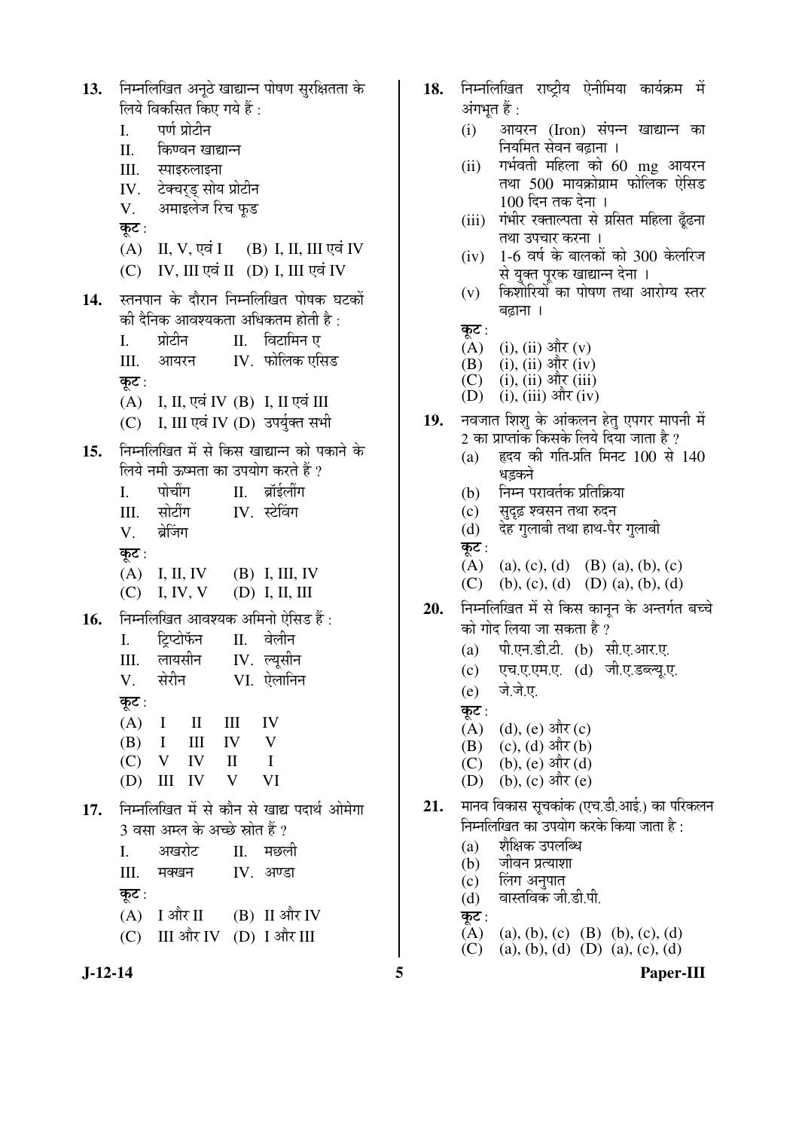निम्नलिखित अनठे खाद्यान्न पोषण सरक्षितता के  $13.$ लिये विकसित किए गये हैं: पर्ण प्रोटीन  $\overline{L}$  $II.$ किण्वन खाद्यान्न III. स्पाइरुलाइना टेक्चरुड् सोय प्रोटीन IV. अमाइलेज रिच फूड V. कट $:$ (B) I, II, III एवं IV  $(A)$  II, V, एवं I (C) IV, III एवं II (D) I, III एवं IV स्तनपान के दौरान निम्नलिखित पोषक घटकों 14. की दैनिक आवश्यकता अधिकतम होती है : प्रोटीन  $\mathbf{I}$ . II. विटामिन ए IV. फोलिक एसिड III. आयरन कट $:$ (A) I, II, एवं IV (B) I, II एवं III (C) I, III एवं IV (D) उपर्युक्त सभी निम्नलिखित में से किस खाद्यान्न को पकाने के  $15.$ लिये नमी ऊष्मता का उपयोग करते हैं ? II. ब्रॉर्डलींग L. पोचींग सोटींग IV स्टेविंग  $III.$ ब्रेजिंग V. कट $:$  $(A)$  I, II, IV  $(B)$  I, III, IV  $(C)$  I, IV, V  $(D)$  I, II, III निम्नलिखित आवश्यक अमिनो ऐसिड हैं : 16. टिप्टोफॅन II. वेलीन  $\mathbf{I}$ .  $III$ लायसीन  $IV.$  ल्यसीन V. सेरीन VI. ऐलानिन कूट:  $(A)$  $\mathbf{I}$  $\mathbf{I}$  $III$ IV IV  $\overline{\mathbf{V}}$ (B)  $\mathbf{I}$  $III$  $\mathbf{I}$  $(C)$  $\mathbf{V}$ **IV**  $\mathbf{I}$  $(D)$  III IV V VI निम्नलिखित में से कौन से खाद्य पदार्थ ओमेगा 17. 3 वसा अम्ल के अच्छे स्रोत हैं ?  $\overline{L}$ अखरोट II. मछली III. मक्खन IV. अण्डा कुट:  $(A)$  I और II (B) II और IV (C) III और IV (D) I और III

- 18. निम्नलिखित राष्टीय ऐनीमिया कार्यक्रम में अंगभूत हैं :
	- आयरन (Iron) संपन्न खाद्यान्न का  $(i)$ नियमित सेवन बढ़ाना ।
	- गर्भवती महिला को 60 mg आयरन  $(ii)$ तथा 500 मायक्रोग्राम फोलिक ऐसिड  $100$  दिन तक देना ।
	- (iii) गंभीर रक्ताल्पता से प्रसित महिला ढूँढना तथा उपचार करना ।
	- 1-6 वर्ष के बालकों को 300 केलरिज  $(iv)$ से युक्त परक खाद्यान्न देना ।
	- किशोरियों का पोषण तथा आरोग्य स्तर  $(v)$ बढाना ।
	- कूट :
	- $(A)$ (i), (ii) और  $(v)$
	- $(ii)$ ,  $(ii)$  और  $(iv)$ (B)
	- (i), (ii) और (iii)  $(C)$ (D) (i), (iii) और (iv)
- नवजात शिशु के आंकलन हेतु एपगर मापनी में 19.  $\overline{2}$  का प्राप्तांक किसके लिये दिया जाता है ?
	- हृदय की गति-प्रति मिनट 100 से 140  $(a)$ धडकने
	- निम्न परावर्तक प्रतिक्रिया  $(h)$
	- सुदृढ़ श्वसन तथा रुदन  $(c)$
	- देह गुलाबी तथा हाथ-पैर गुलाबी  $(d)$ कट $:$
	- (A) (a), (c), (d) (B) (a), (b), (c)
	- $(C)$ (b), (c), (d) (D) (a), (b), (d)
- निम्नलिखित में से किस कानून के अन्तर्गत बच्चे 20. को गोद लिया जा सकता है ?
	- पी.एन.डी.टी. (b) सी.ए.आर.ए.  $(a)$
	- एच.ए.एम.ए. (d) जी.ए.डब्ल्य.ए.  $(c)$
	- जे.जे.ए.  $(e)$
	- कुट:
	- $(d), (e)$  और  $(c)$  $(A)$
	- (c), (d) और (b) (B)
	- $(C)$ (b), (e) और (d)
	- (b), (c) और (e)  $(D)$
- मानव विकास सचकांक (एच.डी.आई.) का परिकलन  $21.$ निम्नलिखित का उपयोग करके किया जाता है:
	- शैक्षिक उपलब्धि  $(a)$
	- जीवन प्रत्याशा  $(b)$
	- लिंग अनुपात  $(c)$
	- वास्तविक जी.डी.पी.  $(d)$
	- कट:
	- $(A)$ (a), (b), (c) (B) (b), (c), (d)
	- (a), (b), (d) (D) (a), (c), (d)  $(C)$

 $J-12-14$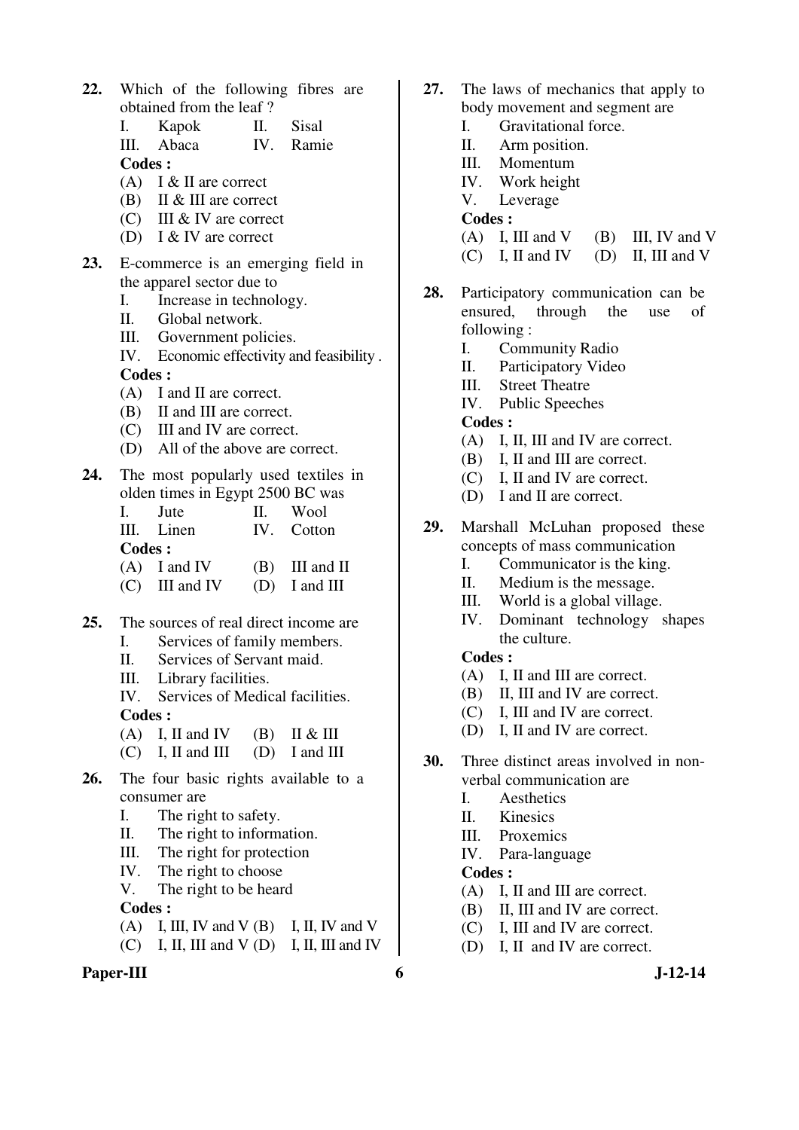**22.** Which of the following fibres are obtained from the leaf ?

|               | I. Kapok   | II. Sisal |
|---------------|------------|-----------|
|               | III. Abaca | IV. Ramie |
| <b>Codes:</b> |            |           |

- $(A)$  I & II are correct
- (B) II & III are correct
- (C) III & IV are correct
- (D) I & IV are correct
- **23.** E-commerce is an emerging field in the apparel sector due to
	- I. Increase in technology.
	- II. Global network.
	- III. Government policies.
	- IV. Economic effectivity and feasibility . **Codes :**
	- (A) I and II are correct.
	- (B) II and III are correct.
	- (C) III and IV are correct.
	- (D) All of the above are correct.
- **24.** The most popularly used textiles in olden times in Egypt 2500 BC was

| 1. Jute        |  | II. Wool         |
|----------------|--|------------------|
| III. Linen     |  | IV. Cotton       |
| <b>Codes</b> : |  |                  |
| $(A)$ I and IV |  | $(B)$ III and II |

- (C) III and IV (D) I and III
- **25.** The sources of real direct income are
	- I. Services of family members.
	- II. Services of Servant maid.
	- III. Library facilities.

 IV. Services of Medical facilities. **Codes :** 

(A) I, II and IV (B) II & III

- $(C)$  I, II and III  $(D)$  I and III
- **26.** The four basic rights available to a consumer are
	- I. The right to safety.
	- II. The right to information.
	- III. The right for protection
	- IV. The right to choose
	- V. The right to be heard

**Codes :** 

- $(A)$  I, III, IV and V  $(B)$  I, II, IV and V
- $(C)$  I, II, III and V  $(D)$  I, II, III and IV

#### Paper-III 6 J-12-14

- **27.** The laws of mechanics that apply to body movement and segment are
	- I. Gravitational force.
	- II. Arm position.
	- III. Momentum
	- IV. Work height
	- V. Leverage

#### **Codes :**

- $(A)$  I, III and V  $(B)$  III, IV and V
- $(C)$  I, II and IV (D) II, III and V
- **28.** Participatory communication can be ensured, through the use of following :
	- I. Community Radio
	- II. Participatory Video
	- III. Street Theatre
	- IV. Public Speeches

**Codes :** 

- (A) I, II, III and IV are correct.
- (B) I, II and III are correct.
- (C) I, II and IV are correct.
- (D) I and II are correct.
- **29.** Marshall McLuhan proposed these concepts of mass communication
	- I. Communicator is the king.
	- II. Medium is the message.
	- III. World is a global village.
	- IV. Dominant technology shapes the culture.

# **Codes :**

- (A) I, II and III are correct.
- (B) II, III and IV are correct.
- (C) I, III and IV are correct.
- (D) I, II and IV are correct.
- **30.** Three distinct areas involved in nonverbal communication are
	- I. Aesthetics
	- II. Kinesics
	- III. Proxemics
	- IV. Para-language

- (A) I, II and III are correct.
- (B) II, III and IV are correct.
- (C) I, III and IV are correct.
- (D) I, II and IV are correct.
	-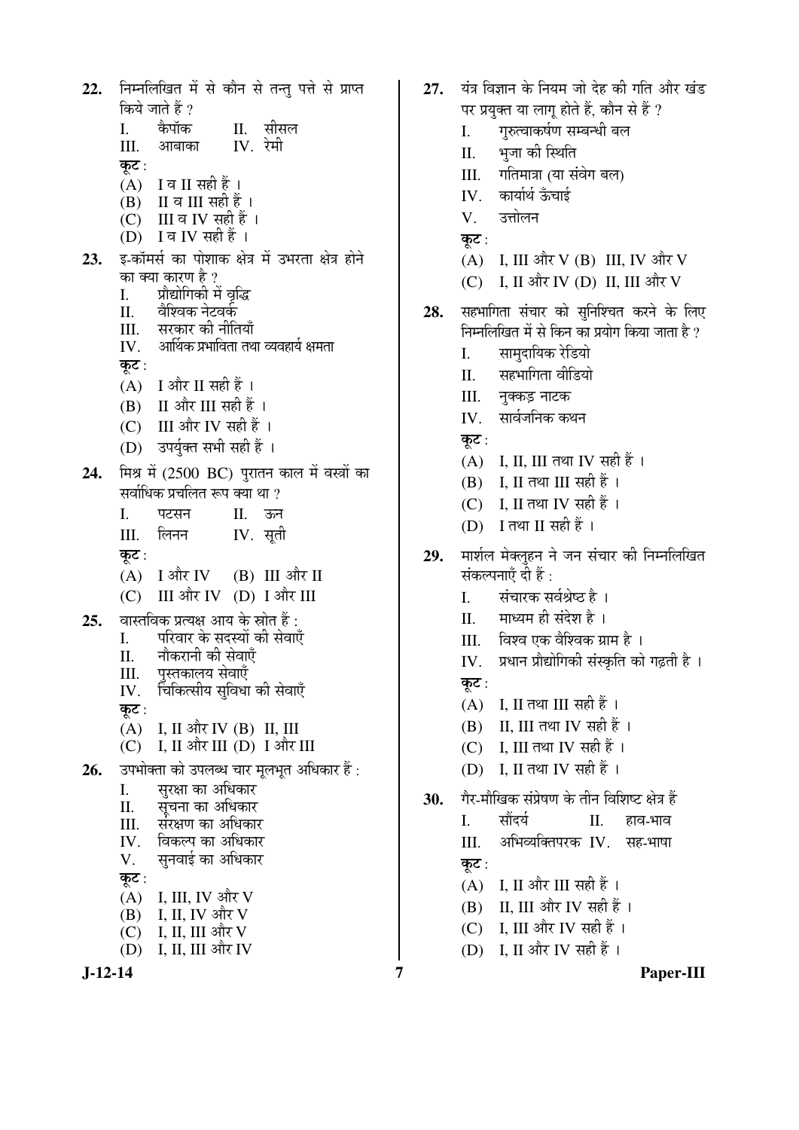निम्नलिखित में से कौन से तन्तु पत्ते से प्राप्त  $22.$ किये जाते हैं ? कैपॉक  $\mathbf{L}$ II. सीसल  $IV$  रेमी III. आबाका कुट:  $(A)$  I व II सही हैं।  $(B)$  II व III सही हैं।  $\overrightarrow{C}$  III व IV सही हैं। (D) I व IV सही हैं । इ-कॉमर्स का पोशाक क्षेत्र में उभरता क्षेत्र होने 23. का क्या कारण है ? प्रौद्योगिकी में वृद्धि L. वैश्विक नेटवर्क Π.  $III.$ सरकार की नीतियाँ आर्थिक प्रभाविता तथा व्यवहार्य क्षमता IV. कुट:  $(A)$  I और II सही हैं। (B) II और III सही हैं । (C) III और IV सही हैं । (D) उपर्युक्त सभी सही हैं । मिश्र में (2500 BC) पुरातन काल में वस्त्रों का 24. सर्वाधिक प्रचलित रूप क्या था  $\theta$  $\mathbf{I}$ पटसन  $\Pi$ . ऊन  $IV.$  सूती III. लिनन कट $:$  $(A)$  I और IV  $(B)$  III और II (C) III और IV (D) I और III वास्तविक प्रत्यक्ष आय के स्रोत हैं :  $25.$ परिवार के सदस्यों की सेवाएँ I. नौकरानी की सेवाएँ  $\Pi$ पस्तकालय सेवाएँ III. चिकित्सीय सुविधा की सेवाएँ IV. कुट: (A) I, II और IV (B) II, III (C) I, II और III (D) I और III 26. उपभोक्ता को उपलब्ध चार मृलभृत अधिकार हैं : सुरक्षा का अधिकार L. सूचना का अधिकार II. संरक्षण का अधिकार III. विकल्प का अधिकार  $IV.$ सुनवाई का अधिकार V. कूट :  $(A)$  I, III, IV और V  $(B)$  I, II, IV और V  $(C)$  I, II, III और V  $(D)$  I. II. III और IV

- यंत्र विज्ञान के नियम जो देह की गति और खंड  $27.$ पर प्रयुक्त या लाग होते हैं. कौन से हैं ? गुरुत्वाकर्षण सम्बन्धी बल L. भूजा की स्थिति  $\Pi$ . गतिमात्रा (या संवेग बल)  $III$ कार्यार्थ ऊँचाई IV.  $V_{\cdot}$ उत्तोलन कूट : (A) I, III और V (B) III, IV और V (C) I, II और IV (D) II, III और V सहभागिता संचार को सुनिश्चित करने के लिए 28. निम्नलिखित में से किन का प्रयोग किया जाता है ? L. सामदायिक रेडियो सहभागिता वीडियो  $\Pi$ . नक्कड़ नाटक III. IV. सार्वजनिक कथन कट:  $(A)$  I, II, III तथा IV सही हैं ।  $(B)$  I. II तथा III सही हैं। (C) I. II तथा IV सही हैं । (D) I तथा II सही हैं । मार्शल मेक्लहन ने जन संचार की निम्नलिखित 29. संकल्पनाएँ दी हैं : संचारक सर्वश्रेष्ठ है ।  $\mathbf{L}$ माध्यम ही संदेश है । II. III. विश्व एक वैश्विक ग्राम है । IV. प्रधान प्रौद्योगिकी संस्कृति को गढ़ती है । कट:  $(A)$  I, II तथा III सही हैं।  $(B)$  II. III तथा IV सही हैं । (C) I, III तथा IV सही हैं। (D) I, II तथा IV सही हैं । गैर-मौखिक संप्रेषण के तीन विशिष्ट क्षेत्र हैं 30.  $\mathbf{I}$ . सौंदर्य  $\Pi$ . हाव-भाव III. अभिव्यक्तिपरक IV. सह-भाषा कुट :  $(A)$  I, II और III सही हैं।  $(B)$  II. III और IV सही हैं। (C) I, III और IV सही हैं।
	- $(D)$  I. II और IV सही हैं।

 $\overline{7}$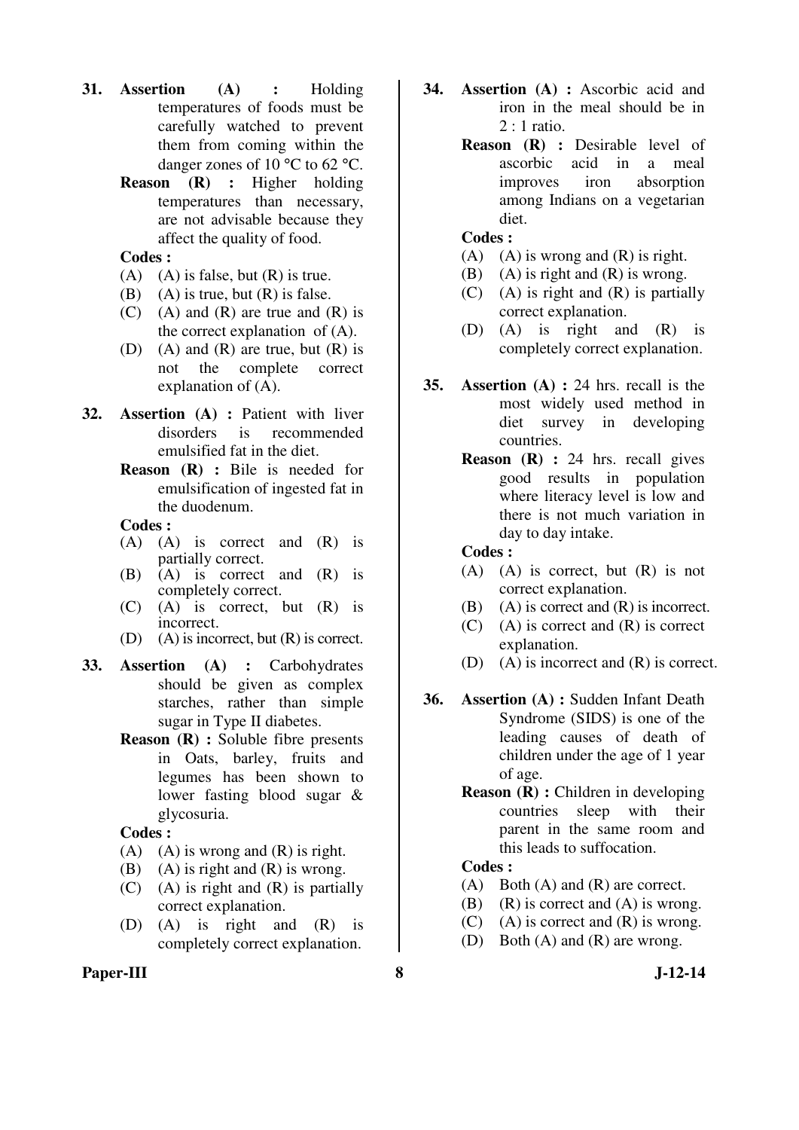- **31. Assertion (A) :** Holding temperatures of foods must be carefully watched to prevent them from coming within the danger zones of 10 °C to 62 °C.
	- **Reason (R) :** Higher holding temperatures than necessary, are not advisable because they affect the quality of food.
	- **Codes :**
	- (A) (A) is false, but  $(R)$  is true.
	- (B) (A) is true, but  $(R)$  is false.
	- $(C)$  (A) and  $(R)$  are true and  $(R)$  is the correct explanation of (A).
	- (D) (A) and (R) are true, but  $(R)$  is not the complete correct explanation of (A).
- **32. Assertion (A) :** Patient with liver disorders is recommended emulsified fat in the diet.
	- **Reason (R) :** Bile is needed for emulsification of ingested fat in the duodenum.

- (A) (A) is correct and (R) is partially correct.
- (B) (A) is correct and (R) is completely correct.
- (C) (A) is correct, but (R) is incorrect.
- (D) (A) is incorrect, but (R) is correct.
- **33. Assertion (A) :** Carbohydrates should be given as complex starches, rather than simple sugar in Type II diabetes.
	- **Reason (R) :** Soluble fibre presents in Oats, barley, fruits and legumes has been shown to lower fasting blood sugar & glycosuria.

**Codes :** 

- (A) (A) is wrong and  $(R)$  is right.
- (B) (A) is right and  $(R)$  is wrong.
- (C) (A) is right and (R) is partially correct explanation.
- (D) (A) is right and (R) is completely correct explanation.
- **Paper-III** 8 J-12-14
- **34. Assertion (A) :** Ascorbic acid and iron in the meal should be in 2 : 1 ratio.
	- **Reason (R) :** Desirable level of ascorbic acid in a meal improves iron absorption among Indians on a vegetarian diet.

#### **Codes :**

- (A) (A) is wrong and  $(R)$  is right.
- (B) (A) is right and  $(R)$  is wrong.
- (C) (A) is right and (R) is partially correct explanation.
- (D) (A) is right and (R) is completely correct explanation.
- **35. Assertion (A) :** 24 hrs. recall is the most widely used method in diet survey in developing countries.
	- **Reason (R) :** 24 hrs. recall gives good results in population where literacy level is low and there is not much variation in day to day intake.

#### **Codes :**

- (A) (A) is correct, but (R) is not correct explanation.
- (B) (A) is correct and (R) is incorrect.
- (C) (A) is correct and (R) is correct explanation.
- (D) (A) is incorrect and (R) is correct.
- **36. Assertion (A) :** Sudden Infant Death Syndrome (SIDS) is one of the leading causes of death of children under the age of 1 year of age.
	- **Reason (R) :** Children in developing countries sleep with their parent in the same room and this leads to suffocation.

- (A) Both (A) and (R) are correct.
- (B) (R) is correct and  $(A)$  is wrong.
- (C) (A) is correct and  $(R)$  is wrong.
- (D) Both (A) and (R) are wrong.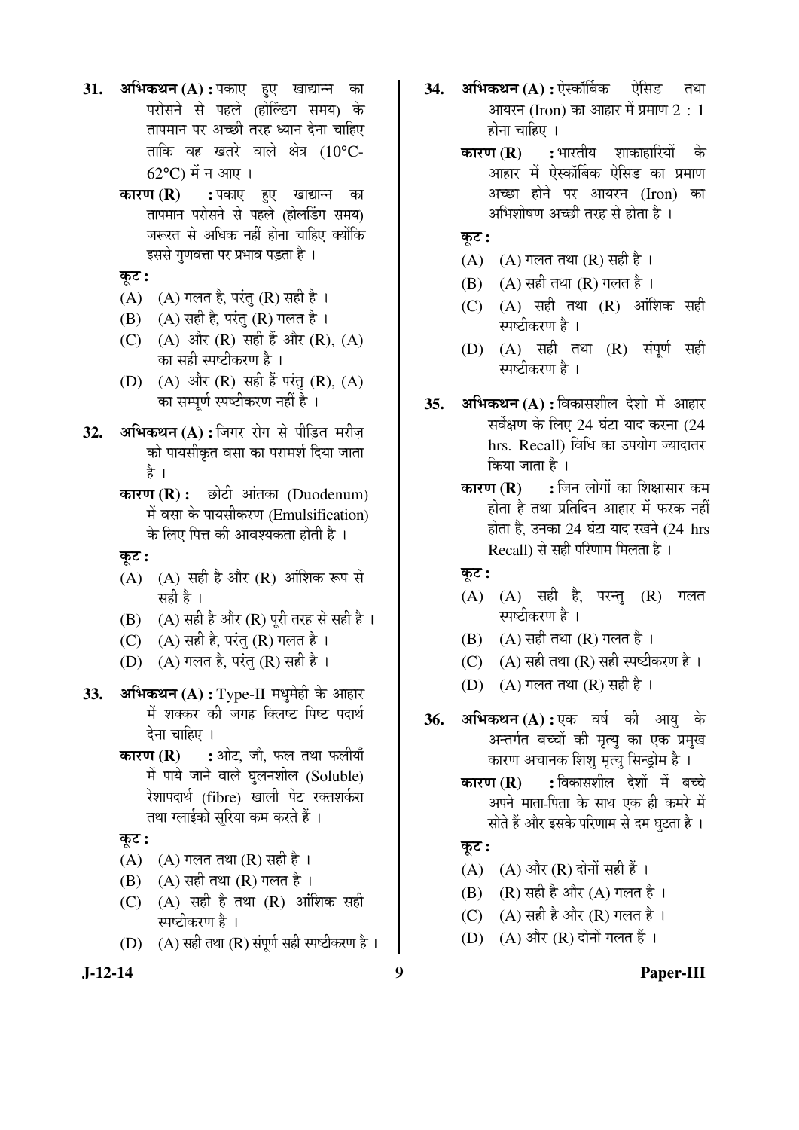- 31. अभिकथन (A) : पकाए हुए खाद्यान्न का परोसने से पहले (होल्डिंग समय) के तापमान पर अच्छी तरह ध्यान देना चाहिए ताकि वह खतरे वाले क्षेत्र (10°C-62°C) में न आए ।
	- **कारण (R) :** पकाए हुए खाद्यान्न का तापमान परोसने से पहले (होलडिंग समय) जरूरत से अधिक नहीं होना चाहिए क्योंकि इससे गुणवत्ता पर प्रभाव पड़ता है ।

Ûæú™ü **:** 

- (A)  $(A)$  गलत है, परंतु (R) सही है ।
- $(B)$   $(A)$  सही है, परंतु  $(R)$  गलत है।
- (C) (A) और (R) सही हैं और (R), (A) का सही स्पष्टीकरण है ।
- (D) (A) और (R) सही हैं परंतु (R), (A) का सम्पूर्ण स्पष्टीकरण नहीं है ।
- 32. **अभिकथन (A) :** जिगर रोग से पीड़ित मरीज़ को पायसीकृत वसा का परामर्श दिया जाता है ।
	- **कारण (R) :** छोटी आंतका (Duodenum) में वसा के पायसीकरण (Emulsification) के लिए पित्त की आवश्यकता होती है ।
	- कट :
	- $(A)$   $(A)$  सही है और  $(R)$  आंशिक रूप से सही है ।
	- (B)  $(A)$  सही है और  $(R)$  पूरी तरह से सही है ।
	- (C)  $(A)$  सही है, परंतु (R) गलत है।
	- (D)  $(A)$  गलत है, परंतु (R) सही है ।
- **33. अभिकथन (A) :** Type-II मधुमेही के आहार में शक्कर की जगह क्लिष्ट पिष्ट पदार्थ देना चाहिए ।
	- **कारण (R) :** ओट, जौ, फल तथा फलीयाँ में पाये जाने वाले घुलनशील (Soluble) रेशापदार्थ (fibre) खाली पेट रक्तशर्करा तथा ग्लाईको सुरिया कम करते हैं ।
	- Ûæú™ü **:**
	- $(A)$   $(A)$  गलत तथा  $(R)$  सही है ।
	- $(B)$   $(A)$  सही तथा  $(R)$  गलत है ।
	- $(C)$   $(A)$  सही है तथा  $(R)$  आंशिक सही स्पष्टीकरण है ।
	- (D)  $(A)$  सही तथा (R) संपूर्ण सही स्पष्टीकरण है ।
- 34. अभिकथन (A) : ऐस्कॉर्बिक ऐसिड तथा आयरन (Iron) का आहार में प्रमाण 2 : 1 होना चाहिए ।
	- **कारण (R) :** भारतीय शाकाहारियों के आहार में ऐस्कॉर्बिक ऐसिड का प्रमाण अच्छा होने पर आयरन (Iron) का अभिशोषण अच्छी तरह से होता है ।
	- Ûæú™ü **:**
	- $(A)$   $(A)$  गलत तथा  $(R)$  सही है ।
	- $(B)$   $(A)$  सही तथा  $(R)$  गलत है ।
	- $(C)$   $(A)$  सही तथा  $(R)$  ऑशिक सही स्पष्टीकरण है ।
	- $(D)$   $(A)$  सही तथा  $(R)$  संपूर्ण सही स्पष्टीकरण है ।
- **35. अभिकथन (A) :** विकासशील देशो में आहार सर्वेक्षण के लिए 24 घंटा याद करना (24 hrs. Recall) विधि का उपयोग ज्यादातर किया जाता है ।
	- **कारण (R) :** जिन लोगों का शिक्षासार कम होता है तथा प्रतिदिन आहार में फरक नहीं होता है, उनका 24 घंटा याद रखने (24 hrs Recall) से सही परिणाम मिलता है ।
	- कूट :
	- $(A)$   $(A)$  सही है, परन्तु  $(R)$  गलत स्पष्टीकरण है ।
	- $(B)$   $(A)$  सही तथा  $(R)$  गलत है ।
	- (C)  $(A)$  सही तथा  $(R)$  सही स्पष्टीकरण है ।
	- $(D)$   $(A)$  गलत तथा  $(R)$  सही है ।
- **36. अभिकथन (A) : ए**क वर्ष की आयु के अन्तर्गत बच्चों की मृत्यु का एक प्रमुख कारण अचानक शिशु मृत्यु सिन्ड्रोम है ।
	- **कारण (R) :** विकासशील देशों में बच्चे अपने माता-पिता के साथ एक ही कमरे में सोते हैं और इसके परिणाम से दम घुटता है ।
	- Ûæú™ü **:**
	- (A)  $(A)$  और (R) दोनों सही हैं ।
	- (B)  $(R)$  सही है और  $(A)$  गलत है।
	- (C)  $(A)$  सही है और (R) गलत है ।
	- (D)  $(A)$  और  $(R)$  दोनों गलत हैं।

**J-12-14 9 Paper-III**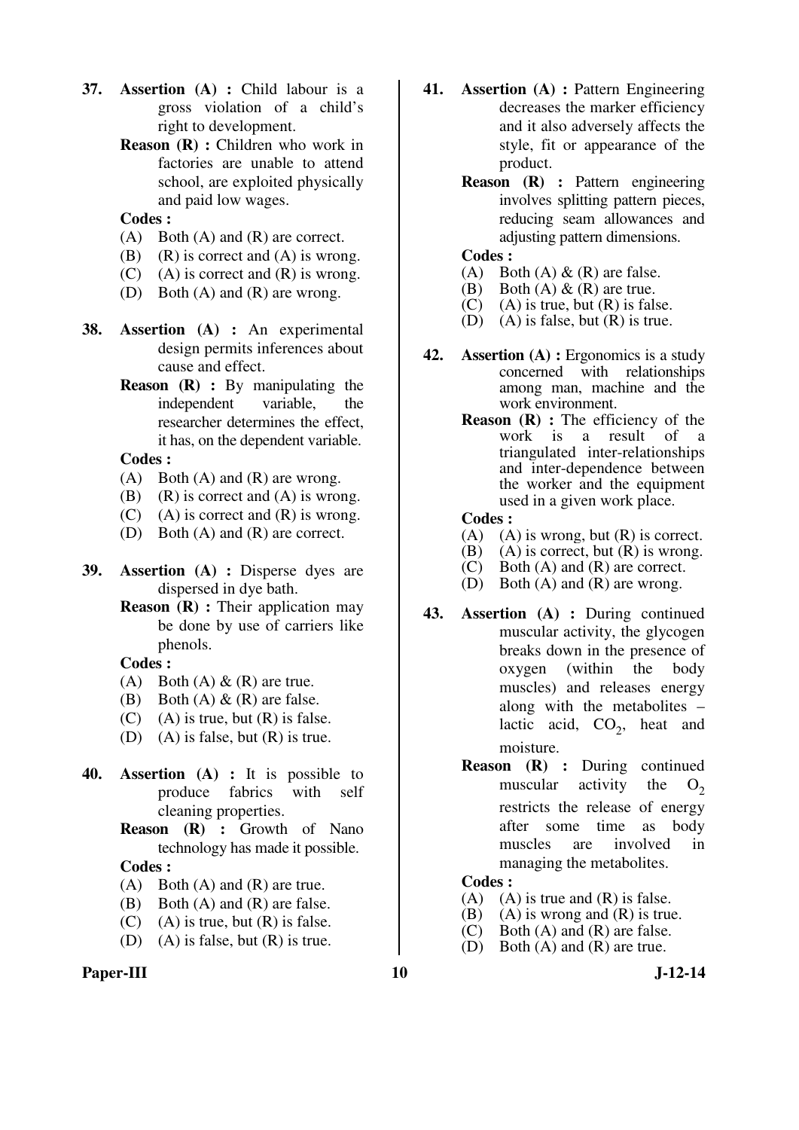- **37. Assertion (A) :** Child labour is a gross violation of a child's right to development.
	- **Reason (R) :** Children who work in factories are unable to attend school, are exploited physically and paid low wages.

- (A) Both (A) and (R) are correct.
- (B) (R) is correct and  $(A)$  is wrong.
- $(C)$  (A) is correct and  $(R)$  is wrong.
- (D) Both (A) and (R) are wrong.
- **38. Assertion (A) :** An experimental design permits inferences about cause and effect.
	- **Reason (R) :** By manipulating the independent variable, the researcher determines the effect, it has, on the dependent variable.

#### **Codes :**

- $(A)$  Both  $(A)$  and  $(R)$  are wrong.
- (B) (R) is correct and  $(A)$  is wrong.
- (C) (A) is correct and  $(R)$  is wrong.
- (D) Both (A) and (R) are correct.
- **39. Assertion (A) :** Disperse dyes are dispersed in dye bath.
	- **Reason** (**R**) : Their application may be done by use of carriers like phenols.

#### **Codes :**

- (A) Both (A)  $\&$  (R) are true.
- (B) Both  $(A) \& (R)$  are false.
- $(C)$  (A) is true, but  $(R)$  is false.
- (D) (A) is false, but (R) is true.
- **40. Assertion (A) :** It is possible to produce fabrics with self cleaning properties.
	- **Reason (R) :** Growth of Nano technology has made it possible.

# **Codes :**

- (A) Both (A) and (R) are true.
- (B) Both (A) and (R) are false.
- $(C)$  (A) is true, but  $(R)$  is false.
- (D) (A) is false, but  $(R)$  is true.

#### **Paper-III** J-12-14

- **41. Assertion (A) :** Pattern Engineering decreases the marker efficiency and it also adversely affects the style, fit or appearance of the product.
	- **Reason (R) :** Pattern engineering involves splitting pattern pieces, reducing seam allowances and adjusting pattern dimensions.

# **Codes :**<br>(A) Bo

- Both  $(A)$  &  $(R)$  are false.
- (B) Both (A)  $\&$  (R) are true.
- $(C)$  (A) is true, but  $(R)$  is false.
- (D) (A) is false, but  $(R)$  is true.
- **42. Assertion (A) :** Ergonomics is a study concerned with relationships among man, machine and the work environment.
	- **Reason** (**R**) : The efficiency of the work is a result of a triangulated inter-relationships and inter-dependence between the worker and the equipment used in a given work place.

#### **Codes :**

- (A) (A) is wrong, but  $(R)$  is correct.
- $(B)$  (A) is correct, but  $(R)$  is wrong.
- (C) Both (A) and (R) are correct.
- (D) Both (A) and (R) are wrong.
- **43. Assertion (A) :** During continued muscular activity, the glycogen breaks down in the presence of oxygen (within the body muscles) and releases energy along with the metabolites – lactic acid,  $CO_2$ , heat and moisture.
	- **Reason (R) :** During continued muscular activity the  $O<sub>2</sub>$ restricts the release of energy after some time as body muscles are involved in managing the metabolites.

- $(A)$   $(A)$  is true and  $(R)$  is false.
- (B) (A) is wrong and (R) is true.<br>(C) Both (A) and (R) are false.
- Both  $(A)$  and  $(R)$  are false.
- (D) Both (A) and (R) are true.
	-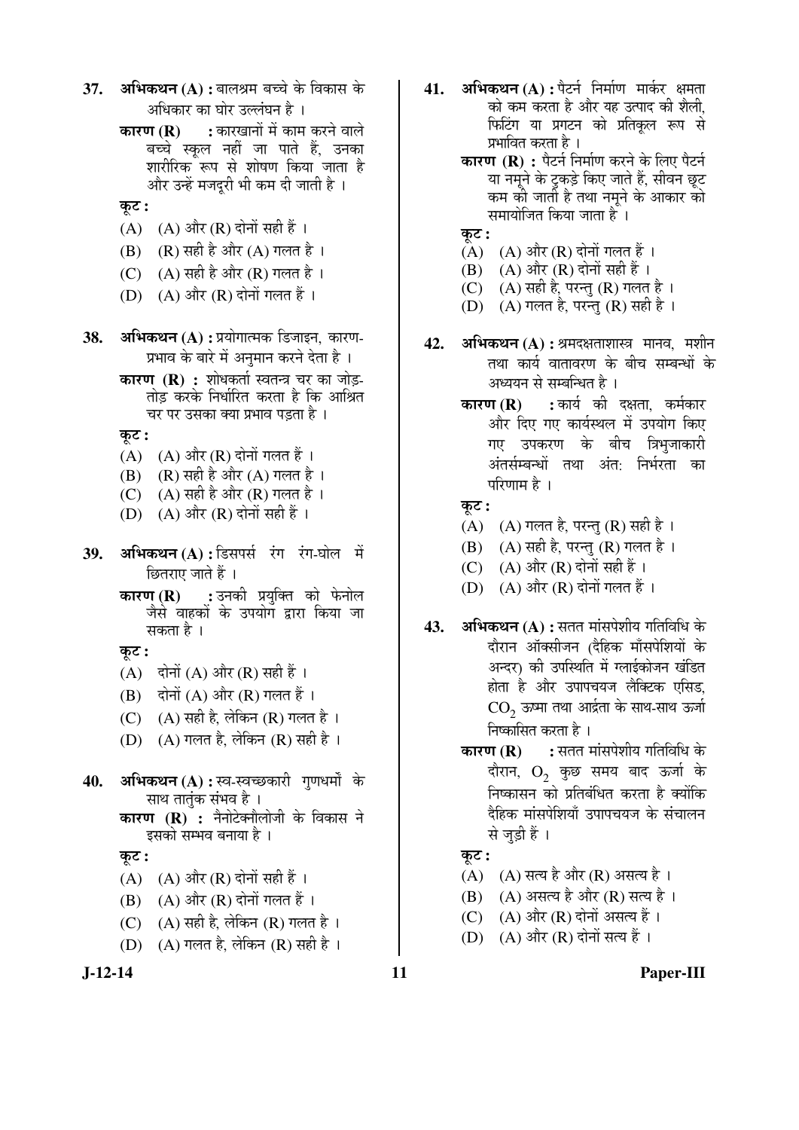- 37. **अभिकथन (A) :** बालश्रम बच्चे के विकास के अधिकार का घोर उल्लंघन है ।
	- **कारण (R) :** कारखानों में काम करने वाले बच्चे स्कूल नहीं जा पाते हैं, उनका शारीरिक रूप से शोषण किया जाता है और उन्हें मजदुरी भी कम दी जाती है ।
	- Ûæú™ü **:**
	- $(A)$   $(A)$  और  $(R)$  दोनों सही हैं ।
	- $(B)$   $(R)$  सही है और  $(A)$  गलत है ।
	- (C)  $(A)$  सही है और (R) गलत है।
	- (D)  $(A)$  और  $(R)$  दोनों गलत हैं ।
- **38. अभिकथन (A) :** प्रयोगात्मक डिजाइन, कारण-प्रभाव के बारे में अनुमान करने देता है ।
	- **कारण (R) :** शोधकर्ता स्वतन्त्र चर का जोड़-तोड़ करके निर्धारित करता है कि आश्रित चर पर उसका क्या प्रभाव पडता है ।

कट :

- $(A)$   $(A)$  और  $(R)$  दोनों गलत हैं ।
- (B)  $(R)$  सही है और  $(A)$  गलत है ।
- (C)  $(A)$  सही है और (R) गलत है ।
- (D)  $(A)$  और  $(R)$  दोनों सही हैं ।
- **39. अभिकथन (A) :** डिसपर्स रंग रंग-घोल में छितराए जाते हैं ।
	- **कारण (R) :** उनकी प्रयुक्ति को फेनोल जैसे वाहकों के उपयोग द्वारा किया जा सकता है ।

Ûæú™ü **:** 

- (A) दोनों (A) और (R) सही हैं ।
- $(B)$  दोनों  $(A)$  और  $(R)$  गलत हैं ।
- (C)  $(A)$  सही है, लेकिन (R) गलत है।
- (D)  $(A)$  गलत है, लेकिन (R) सही है ।
- 40. **अभिकथन (A) : स्व-स्वच्छकारी गुणधर्मों के** साथ तातुंक संभव है ।
	- **कारण (R) :** नैनोटेक्नौलोजी के विकास ने इसको सम्भव बनाया है ।

कूट :

- (A)  $(A)$  और (R) दोनों सही हैं।
- $(B)$   $(A)$  और  $(R)$  दोनों गलत हैं।
- (C)  $(A)$  सही है, लेकिन (R) गलत है ।
- (D)  $(A)$  गलत है, लेकिन (R) सही है ।



- **41. अभिकथन (A) :** पैटर्न निर्माण मार्कर क्षमता को कम करता है और यह उत्पाद की शैली, फिटिंग या प्रगटन को प्रतिकृल रूप से प्रभावित करता है ।
	- **कारण (R) :** पैटर्न निर्माण करने के लिए पैटर्न या नमूने के टुकड़े किए जाते हैं, सीवन छूट कम की जाती है तथा नमूने के आकार को समायोजित किया जाता है ।
	- Ûæú™ü **:**
	- $(A)$   $(A)$  और  $(R)$  दोनों गलत हैं।
	- (B)  $(A)$  और  $(R)$  दोनों सही हैं ।
	- (C)  $(A)$  सही है, परन्तु (R) गलत है ।
	- (D)  $(A)$  गलत है, परन्तु (R) सही है ।
- **42. अभिकथन (A) :** श्रमदक्षताशास्त्र मानव, मशीन तथा कार्य वातावरण के बीच सम्बन्धों के अध्ययन से सम्बन्धित है ।
	- **कारण (R) :** कार्य की दक्षता. कर्मकार और दिए गए कार्यस्थल में उपयोग किए गए उपकरण के बीच त्रिभुजाकारी अंतर्सम्बन्धों तथा अंत<sub>ं</sub> निर्भरता का परिणाम है ।

 $\overline{\phi}$ :

- $(A)$   $(A)$  गलत है, परन्तु  $(R)$  सही है।
- (B)  $(A)$  सही है, परन्तु (R) गलत है ।
- (C)  $(A)$  और  $(R)$  दोनों सही हैं।
- (D)  $(A)$  और  $(R)$  दोनों गलत हैं।
- **43. अभिकथन (A) :** सतत मांसपेशीय गतिविधि के दौरान ऑक्सीजन (दैहिक मॉंसपेशियों क<mark>े</mark> अन्दर) की उपस्थिति में ग्लाईकोजन खंडित होता है और उपापचयज लैक्टिक एसिड,  $\mathrm{CO}_2^{\phantom{\dag}}$  ऊष्मा तथा आर्द्रता के साथ-साथ ऊर्जा निष्कासित करता है ।
	- **कारण (R) :** सतत मांसपेशीय गतिविधि के दौरान,  $O_2$  कुछ समय बाद ऊर्जा के <u>निष्कासन को प्रतिबंधित करता है क्योंकि</u> दैहिक मांसपेशियाँ उपापचयज के संचालन से जड़ी हैं।
	- Ûæú™ü **:**
	- $(A)$   $(A)$  सत्य है और  $(R)$  असत्य है ।
	- $(B)$   $(A)$  असत्य है और  $(R)$  सत्य है ।
	- (C)  $(A)$  और (R) दोनों असत्य हैं।
	- (D)  $(A)$  और  $(R)$  दोनों सत्य हैं ।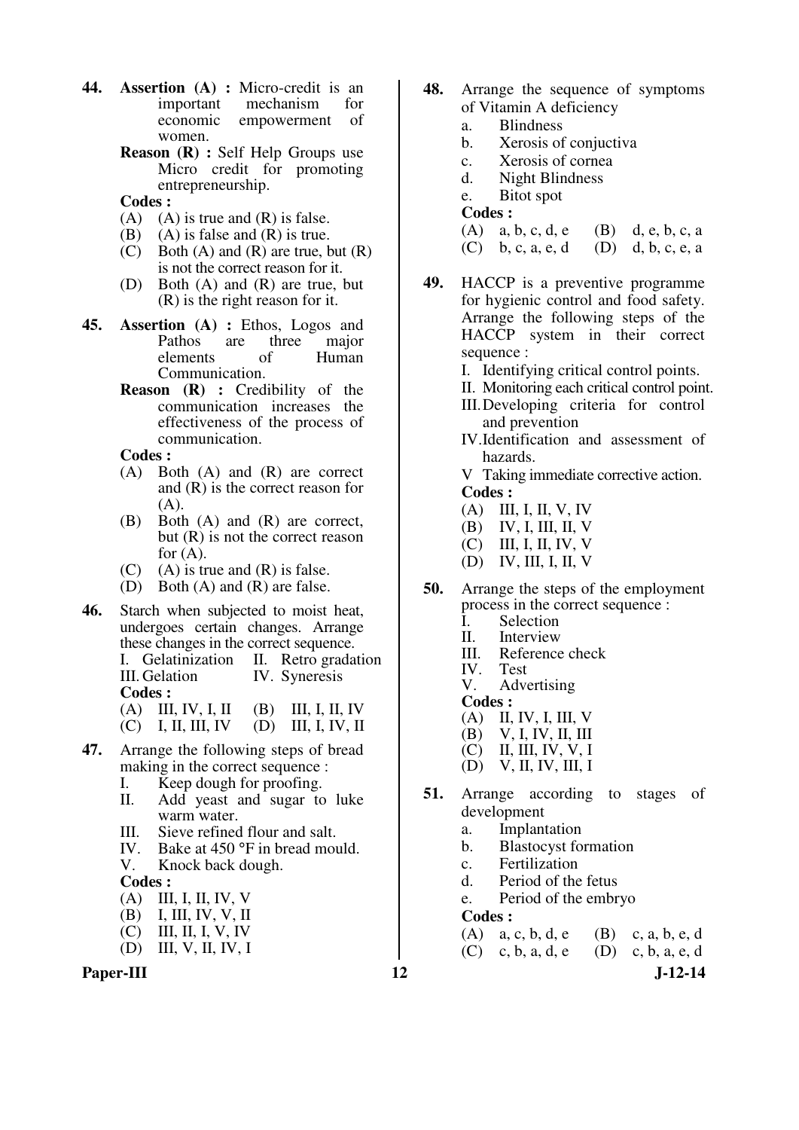- **44. Assertion** (A) : Micro-credit is an important mechanism for mechanism economic empowerment of women.
	- **Reason (R) :** Self Help Groups use Micro credit for promoting entrepreneurship.
	- **Codes :**
	- $(A)$   $(A)$  is true and  $(R)$  is false.
	- (B) (A) is false and  $(R)$  is true.
	- $(C)$  Both  $(A)$  and  $(R)$  are true, but  $(R)$ is not the correct reason for it.
	- (D) Both (A) and (R) are true, but (R) is the right reason for it.
- **45. Assertion (A) :** Ethos, Logos and Pathos are three major elements of Human Communication.
	- **Reason (R) :** Credibility of the communication increases the effectiveness of the process of communication.

- (A) Both (A) and (R) are correct and (R) is the correct reason for (A).
- (B) Both (A) and (R) are correct, but (R) is not the correct reason for  $(A)$ .
- $(C)$  (A) is true and  $(R)$  is false.
- (D) Both (A) and (R) are false.
- **46.** Starch when subjected to moist heat, undergoes certain changes. Arrange these changes in the correct sequence.<br>
I. Gelatinization II. Retro grada

I. Gelatinization II. Retro gradation<br>III. Gelation IV. Syneresis IV. Syneresis **Codes :** 

- (A) III, IV, I, II (B) III, I, II, IV<br>(C) I, II, III, IV (D) III, I, IV, II
- $(D)$  III, I, IV, II
- **47.** Arrange the following steps of bread making in the correct sequence :
	- I. Keep dough for proofing.<br>II. Add veast and sugar to
	- Add yeast and sugar to luke warm water.
	- III. Sieve refined flour and salt.<br>IV. Bake at  $450^{\circ}$ F in bread more
	- IV. Bake at 450 °F in bread mould.<br>V. Knock back dough.
	- Knock back dough.

#### **Codes :**

- (A) III, I, II, IV, V
- (B) I, III, IV, V, II
- (C) III, II, I, V, IV
- (D) III, V, II, IV, I



- **48.** Arrange the sequence of symptoms of Vitamin A deficiency
	- a. Blindness
	- b. Xerosis of conjuctiva
	- c. Xerosis of cornea
	- d. Night Blindness
	- e. Bitot spot

**Codes :** 

(A) a, b, c, d, e (B) d, e, b, c, a (C) b, c, a, e, d (D) d, b, c, e, a

- 
- **49.** HACCP is a preventive programme for hygienic control and food safety. Arrange the following steps of the HACCP system in their correct sequence :
	- I. Identifying critical control points.
	- II. Monitoring each critical control point.
	- III. Developing criteria for control and prevention
	- IV. Identification and assessment of hazards.
	- V Taking immediate corrective action. **Codes :**
	- (A) III, I, II, V, IV
	- (B) IV, I, III, II, V
	- (C) III, I, II, IV, V
	- (D) IV, III, I, II, V
- **50.** Arrange the steps of the employment process in the correct sequence :
	- I. Selection<br>II. Interview
	- II. Interview
	- III. Reference check<br>IV. Test
	- IV. Test
	- Advertising
	- **Codes :**<br>(A) II.
	- (A) II, IV, I, III, V
	- (B) V, I, IV, II, III<br>(C) II, III, IV, V, I
	- II, III, IV, V, I
	- (D) V, II, IV, III, I
- **51.** Arrange according to stages of development
	- a. Implantation
	- b. Blastocyst formation
	- c. Fertilization
	- d. Period of the fetus
	- e. Period of the embryo

- (A) a, c, b, d, e (B) c, a, b, e, d
- (C) c, b, a, d, e (D) c, b, a, e, d

- - - -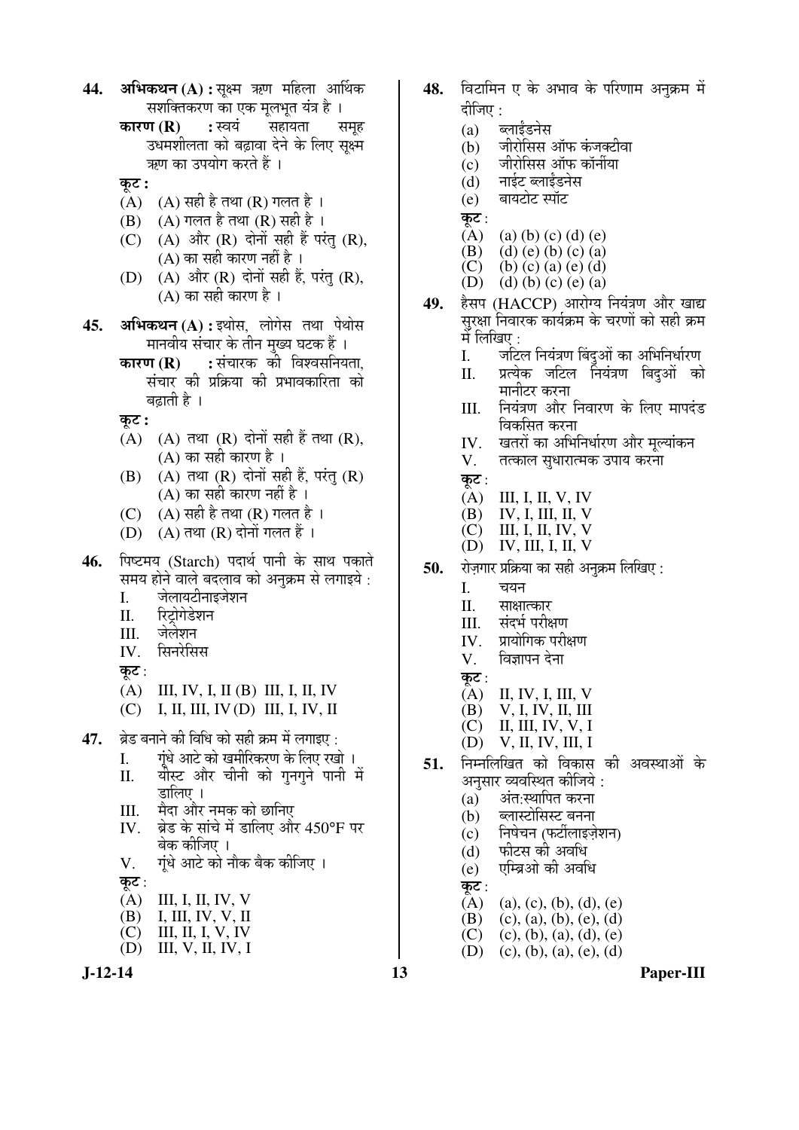- **44. अभिकथन (A) :** सक्ष्म ऋण महिला आर्थिक सशक्तिकरण का एक मुलभुत यंत्र है ।
	- **कारण (R) :** स्वयं सहायता समह उधमशीलता को बढावा देने के लिए सक्ष्म ऋण का उपयोग करते हैं ।
	- <u>क</u>ट:
	- (A)  $(A)$  सही है तथा (R) गलत है ।
	- $(B)$   $(A)$  गलत है तथा  $(R)$  सही है ।
	- (C)  $(A)$  और  $(R)$  दोनों सही हैं परंतु  $(R)$ ,  $(A)$  का सही कारण नहीं है।
	- $(D)$   $(A)$  और  $(R)$  दोनों सही हैं, परंतु  $(R)$ ,  $(A)$  का सही कारण है ।
- **45. अभिकथन (A) :** इथोस, लोगेस तथा पेथोस `मानवीय संचार के तीन मुख्य घटक हैं ।
	- **कारण (R) :** संचारक की विश्वसनियता, संचार की प्रक्रिया की प्रभावकारिता को बढाती है ।
	- कट :
	- $(A)$   $(A)$  तथा  $(R)$  दोनों सही हैं तथा  $(R)$ , (A) का सही कारण है ।
	- $(B)$   $(A)$  तथा  $(R)$  दोनों सही हैं, परंतु  $(R)$ (A) का सही कारण नहीं है ।
	- (C)  $(A)$  सही है तथा (R) गलत है ।
	- $(D)$   $(A)$  तथा  $(R)$  दोनों गलत हैं ।
- **46.** पिष्टमय (Starch) पदार्थ पानी के साथ पकाते समय होने वाले बदलाव को अनुक्रम से लगाइये :<br>I. जेलायटीनाइजेशन
	- जेलायटीनाइजेशन
	- II. रिटोगेडेशन
	- III. जेलेशन
	- $IV.$  सिनरेसिस
	- कूट :
	- (A) III, IV, I, II (B) III, I, II, IV
	- (C) I, II, III, IV (D) III, I, IV, II
- **47.** ब्रेड बनाने की विधि को सही क्रम में लगाइए :
	- I. गंधे आटे को खमीरिकरण के लिए रखो ।
	- II. यौस्ट और चीनी को गुनगुने पानी में डालिए ।
	- III. मैदा और नमक को छानिए
	- IV. ब्रेड के सांचे में डालिए और 450°F पर बेक कीजिए ।
	- V. गंधे आटे को नौक बैक कीजिए ।
	- कुट $:$ 
		-
	- (A) III, I, II, IV, V (B) I, III, IV, V, II
	- $(C)$  III, II, I, V, IV
	- (D) III, V, II, IV, I
- 48. विटामिन ए के अभाव के परिणाम अनक्रम में दीजिए :
	- (a) ब्लाईंडनेस
	- $(b)$  जीरोसिस ऑफ कंजक्टीवा
	- (c) जीरोसिस ऑफ कॉर्नीया
	- (d) नाईट ब्लाईंडनेस
	- $(e)$  बायटोट स्पॉट
	- कूट :<br>(A)
	- (a) (b) (c) (d) (e)
	- (B) (d) (e) (b) (c) (a)<br>(C) (b) (c) (a) (e) (d)
	- (b) (c) (a) (e) (d)
	- (D) (d) (b) (c) (e) (a)
- 49. हेसप (HACCP) आरोग्य नियंत्रण और खाद्य सरक्षा निवारक कार्यक्रम के चरणों को सही क्रम में लिखिए :<br>I. जटि
	- जटिल नियंत्रण बिंदुओं का अभिनिर्धारण
	- II. प्रत्येक जटिल नियंत्रण बिदुओं को मानीटर करना
	- III. नियंत्रण और निवारण के लिए मापदंड विकसित करना
	- IV. खतरों का अभिनिर्धारण और मूल्यांकन<br>V. तत्काल सुधारात्मक उपाय करना
	- तत्काल सुधारात्मक उपाय करना
	- कट $:$
	- (A) III, I, II, V, IV
	- $(B)$  IV, I, III, II, V
	- $(C)$  III, I, II, IV, V
	- (D) IV, III, I, II, V
- **50.** रोजगार प्रक्रिया का सही अनक्रम लिखिए :
	- I. चयन
	- II. साक्षात्कार<br>III. संदर्भ परीक्ष
	- III. संदर्भ परीक्षण<br>IV प्रायोगिक परी8
	- प्रायोगिक परीक्षण
	- $V.$  विज्ञापन देना
	- कूट :<br>(A)
	- II, IV, I, III, V
	- (B) V, I, IV, II, III
	- $(C)$  II, III, IV, V, I<br>(D) V, II, IV, III, I
	- (D) V, II, IV, III, I
- **51.** निम्नलिखित को विकास की अवस्थाओं के अनुसार व्यवस्थित कीजिये :<br>(a) अंत:स्थापित करना
	- अंत:स्थापित करना
	- $(b)$  ब्लास्टोसिस्ट बनना
	- (c) निषेचन (फर्टीलाइज़ेशन)
	- $(d)$  फीटस की अवधि
	- $(e)$  एम्बिओ की अवधि
	- कूट :<br> $\overline{A}$
	- (A) (a), (c), (b), (d), (e)<br>(B) (c), (a), (b), (e), (d)
	- $(c)$ ,  $(a)$ ,  $(b)$ ,  $(e)$ ,  $(d)$
	- (C) (c), (b), (a), (d), (e)<br>(D) (c), (b), (a), (e), (d)
	- $(c), (b), (a), (e), (d)$
- 

**J-12-14 13 Paper-III**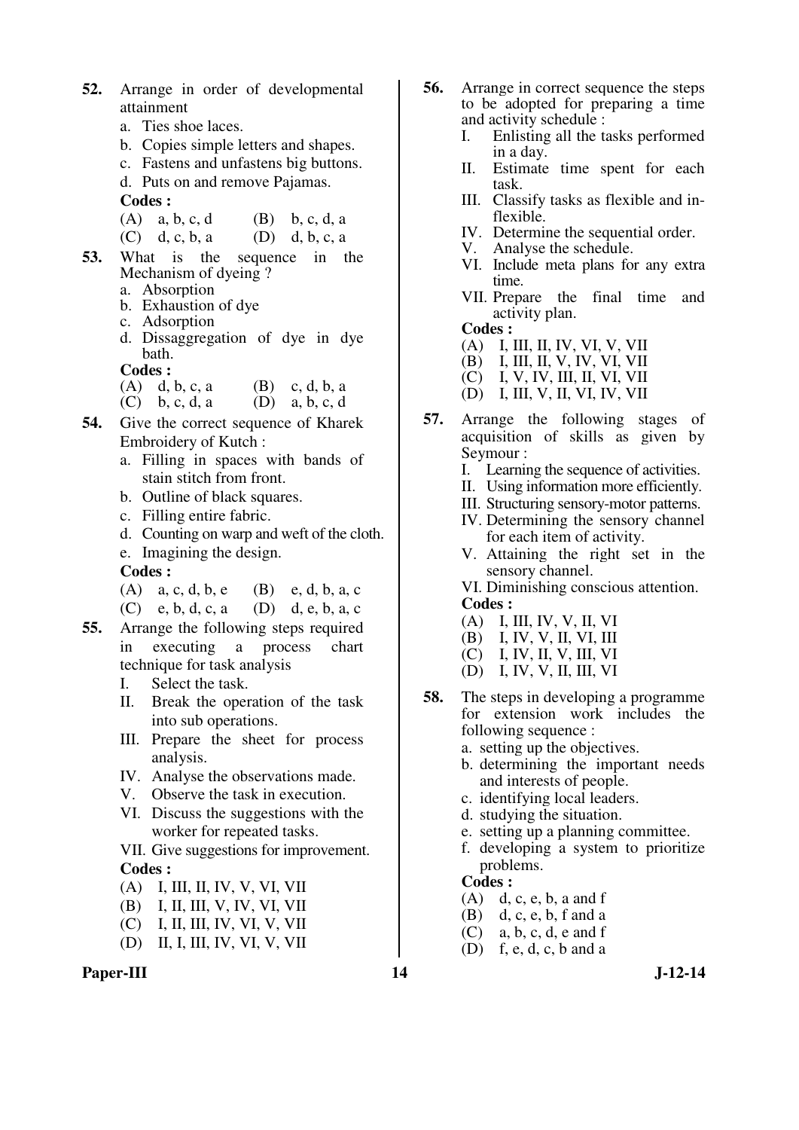- **52.** Arrange in order of developmental attainment
	- a. Ties shoe laces.
	- b. Copies simple letters and shapes.
	- c. Fastens and unfastens big buttons.
	- d. Puts on and remove Pajamas.

- (A)  $a, b, c, d$  (B)  $b, c, d, a$
- (C) d, c, b, a (D) d, b, c, a
- **53.** What is the sequence in the Mechanism of dyeing ?
	- a. Absorption
	- b. Exhaustion of dye
	- c. Adsorption
	- d. Dissaggregation of dye in dye bath.
	- **Codes :**
	- (A) d, b, c, a (B) c, d, b, a
	- (C) b, c, d, a (D) a, b, c, d
- **54.** Give the correct sequence of Kharek Embroidery of Kutch :
	- a. Filling in spaces with bands of stain stitch from front.
	- b. Outline of black squares.
	- c. Filling entire fabric.
	- d. Counting on warp and weft of the cloth.
	- e. Imagining the design.
	- **Codes :**
	- (A) a, c, d, b, e (B) e, d, b, a, c
	- (C) e, b, d, c, a (D) d, e, b, a, c
- **55.** Arrange the following steps required in executing a process chart technique for task analysis
	- I. Select the task.
	- II. Break the operation of the task into sub operations.
	- III. Prepare the sheet for process analysis.
	- IV. Analyse the observations made.
	- V. Observe the task in execution.
	- VI. Discuss the suggestions with the worker for repeated tasks.

 VII. Give suggestions for improvement. **Codes :** 

- (A) I, III, II, IV, V, VI, VII
- (B) I, II, III, V, IV, VI, VII
- (C) I, II, III, IV, VI, V, VII
- (D) II, I, III, IV, VI, V, VII
- Paper-III 14 J-12-14
- **56.** Arrange in correct sequence the steps to be adopted for preparing a time and activity schedule :
	- I. Enlisting all the tasks performed in a day.
	- II. Estimate time spent for each task.
	- III. Classify tasks as flexible and inflexible.
	- IV. Determine the sequential order.
- V. Analyse the schedule.
- VI. Include meta plans for any extra time.
	- VII. Prepare the final time and activity plan.

**Codes :** 

- (A) I, III, II, IV, VI, V, VII
- (B) I, III, II, V, IV, VI, VII
- (C) I, V, IV, III, II, VI, VII
	- (D) I, III, V, II, VI, IV, VII
- **57.** Arrange the following stages of acquisition of skills as given by Seymour :
	- I. Learning the sequence of activities.
	- II. Using information more efficiently.
	- III. Structuring sensory-motor patterns.
	- IV. Determining the sensory channel for each item of activity.
	- V. Attaining the right set in the sensory channel.
	- VI. Diminishing conscious attention. **Codes :**
	- (A) I, III, IV, V, II, VI
	- (B) I, IV, V, II, VI, III
	- $(C)$  I, IV, II, V, III, VI
	- (D) I, IV, V, II, III, VI
- **58.** The steps in developing a programme for extension work includes the following sequence :
	- a. setting up the objectives.
	- b. determining the important needs and interests of people.
	- c. identifying local leaders.
	- d. studying the situation.
	- e. setting up a planning committee.
	- f. developing a system to prioritize problems.

- $(A)$  d, c, e, b, a and f
- (B) d, c, e, b, f and a<br>(C) a, b, c, d, e and f
- $a, b, c, d, e$  and f
- $(D)$  f, e, d, c, b and a
-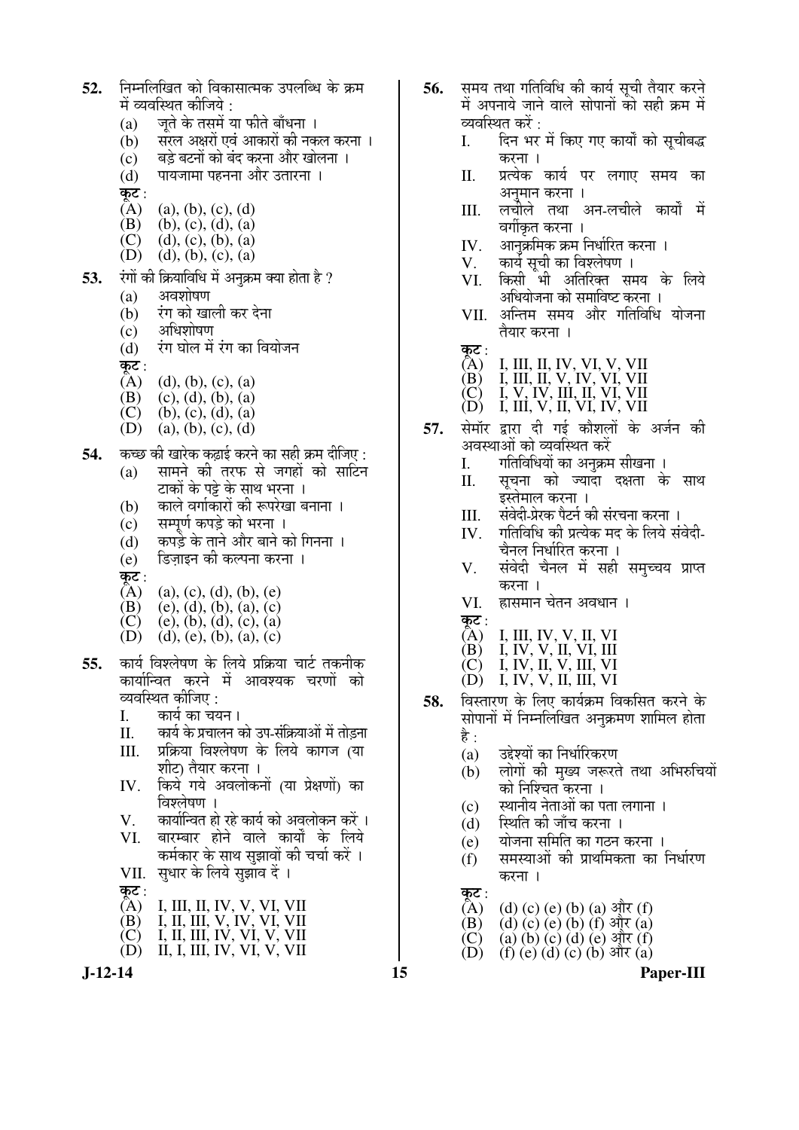- **52.** ×®Ö´®Ö×»Ö×ÜÖŸÖ ÛúÖê ×¾ÖÛúÖÃÖÖŸ´ÖÛú ˆ¯Ö»Öײ¬Ö Ûêú ÛÎú´Ö में व्यवस्थित कीजिये :<br>(a) जिते के तसमें र
	- (a) जूते के तसमें या फीते बाँधना ।<br>(b) सरल अक्षरों एवं आकारों की नक
	- सरल अक्षरों एवं आकारों की नकल करना ।
	- (c) बड़े बटनों को बंद करना और खोलना ।<br>(d) पायजामा पहनना और उतारना ।
	- पायजामा पहनना और उतारना ।
	- कूट :<br> $\overline{(\rm A)}$
	- $(a), (b), (c), (d)$
	- (B) (b), (c), (d), (a)<br>(C) (d), (c), (b), (a)
	- (C) (d), (c), (b), (a)<br>(D) (d), (b), (c), (a)  $(d), (b), (c), (a)$
	-
- **53.** रंगों की क्रियाविधि में अनक्रम क्या होता है ?
	- $(a)$  अवशोषण
	- (b) एंग को खाली कर देना
	- $(c)$  अधिशोषण
	- (d) ∑रंग घोल में रंग का वियोजन
	- कू**ट** :<br>(A)
	- (A) (d), (b), (c), (a)<br>(B) (c), (d), (b), (a)
	- (B) (c), (d), (b), (a)<br>(C) (b), (c), (d), (a)
	- (C) (b), (c), (d), (a)<br>(D) (a), (b), (c), (d)
	- $(a), (b), (c), (d)$
- 54. कच्छ की खारेक कढ़ाई करने का सही क्रम दीजिए :
	- (a) सामने की तरफ से जगहों को साटिन टाकों के पड़े के साथ भरना ।
	- (b) काले वर्गाकारों की रूपरेखा बनाना ।
	- (c) सम्पर्ण कपडे को भरना ।
	- $(d)$  कपडे़े के ताने और बाने को गिनना ।
	- (e) डिज़ाइन की कल्पना करना ।
	-
	- कट:<br>(A)  $(A)$  (a), (c), (d), (b), (e)<br>
	(B) (e), (d), (b), (a), (c)
	-
	- (B) (e), (d), (b), (a), (c)<br>(C) (e), (b), (d), (c), (a)<br>(D) (d), (e), (b), (a), (c) (e), (b), (d), (c), (a)  $(d)$ ,  $(e)$ ,  $(b)$ ,  $(a)$ ,  $(c)$
- 55. कार्य विश्लेषण के लिये प्रक्रिया चार्ट तकनीक कार्यान्वित करने में आवश्यक चरणों को व्यवस्थित कीजिए :<br>I. कार्य का चर
	-
	- I. कार्य का चयन ।<br>II. कार्य के प्रचालन व कार्य के प्रचालन को उप-संक्रियाओं में तोडना
	- III. प्रक्रिया विश्लेषण के लिये कागज (या शीट) तैयार करना ।
	- IV. किये गये अवलोकनों (या प्रेक्षणों) का  $\overline{a}$ ञ्लेषण ।
	- V. कार्यान्वित हो रहे कार्य को अवलोकन करें ।<br>VI. बारम्बार होने वाले कार्यों के लिये
	- बारम्बार होने वाले कार्यों के लिये कर्मकार के साथ सुझावों की चर्चा करें ।
	- VII. सुधार के लिये सुझाव दें ।
	- कट:<br>(A)
- (A) I, III, II, IV, V, VI, VII
- (B) I, II, III, V, IV, VI, VII
- (C) I, II, III, IV, VI, V, VII (D) II, I, III, IV, VI, V, VII
- 
- **56.** समय तथा गतिविधि की कार्य सची तैयार करने में अपनाये जाने वाले सोपानों को सही क्रम में
	- व्यवस्थित करें :<br>I. दिन भर दिन भर में किए गए कार्यों को सचीबद्ध करना ।
	- II. प्रत्येक कार्य पर लगाए समय का अनमान करना ।
	- III. लचीले तथा अन-लचीले कार्यों में वर्गीकृत करना ।
	- $IV.$   $\,$ आनक्रमिक क्रम निर्धारित करना ।
	- V. कार्य सूची का विश्लेषण ।<br>VI. किसी भी अतिरिक्त स
	- किसी भी अतिरिक्त समय के लिये अधियोजना को समाविष्ट करना ।
	- VII. अन्तिम समय और गतिविधि योजना तैयार करना ।
	- कट :<br>(A)
- (A) I, III, II, IV, VI, V, VII
- (B) I, III, II, V, IV, VI, VII (C) I, V, IV, III, II, VI, VII
- (D) I, III, V, II, VI, IV, VII
- 57. सेमॉर द्रारा दी गई कौशलों के अर्जन की अवस्थाओं को व्यवस्थित करें<br>I. गतिविधियों का अनक्रम
	- गतिविधियों का अनक्रम सीखना ।
	- II. सचना को ज्यादा दक्षता के साथ  $\bar{\mathbf{z}}$ स्तेमाल करना ।
	- III. संवेदी-प्रेरक पैटर्न की संरचना करना ।
	- IV. गतिविधि की प्रत्येक मद के लिये संवेदी-चैनल निर्धारित करना ।
	- V. संवेदी चैनल में सही समच्चय प्राप्त करना ।
	- VI. ह्रासमान चेतन अवधान ।
	- कूट :<br> $\hat{A}$ )
- $(A)$  I, III, IV, V, II, VI
- (B) I, IV, V, II, VI, III
- (C) I, IV, II, V, III, VI (D) I, IV, V, II, III, VI
- **58.** विस्तारण के लिए कार्यक्रम विकसित करने के सोपानों में निम्नलिखित अनक्रमण शामिल होता है $\cdot$ 
	- (a) उद्देश्यों का निर्धारिकरण
	- $\overrightarrow{b}$  लोगों की मख्य जरूरते तथा अभिरुचियों को निश्चित करना ।
	- (c) स्थानीय नेताओं का पता लगाना ।
	- (d) स्थिति की जाँच करना ।
	- (e) योजना समिति का गठन करना ।
	- $(f)$  समस्याओं की प्राथमिकता का निर्धारण करना ।

कूट:<br> $\overline{A}$ )

- (A) (d) (c) (e) (b) (a) और (f)<br>(B) (d) (c) (e) (b) (f) और (a)
- (B) (d) (c) (e) (b) (f) और (a)<br>(C) (a) (b) (c) (d) (e) और (f)
- $(C)$  (a)  $(b)$   $(c)$   $(d)$   $(e)$   $\frac{d}{dt}$   $(f)$ <br>(D) (f)  $(e)$  (d)  $(c)$  (b)  $\frac{d}{dt}$  (a)
- $(f)$  (e) (d) (c) (b) और (a)

**J-12-14 15 Paper-III**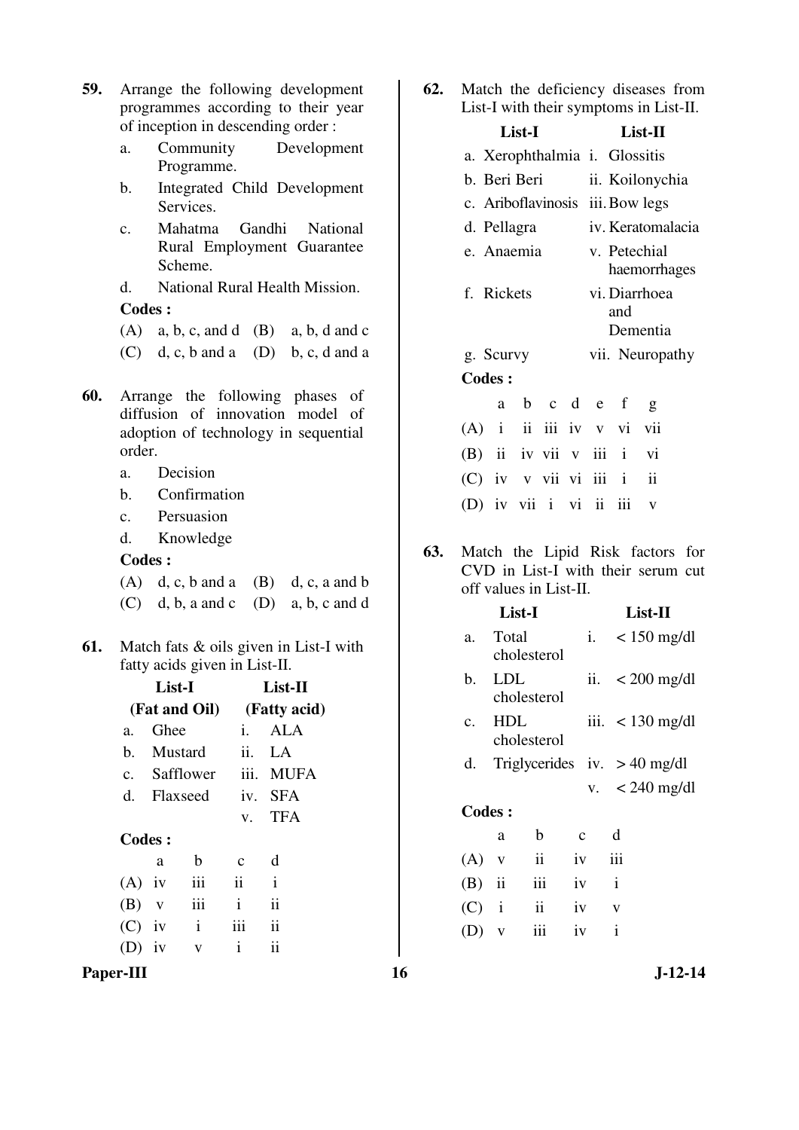- **59.** Arrange the following development programmes according to their year of inception in descending order :
	- a. Community Development Programme.
	- b. Integrated Child Development Services.
	- c. Mahatma Gandhi National Rural Employment Guarantee Scheme.
	- d. National Rural Health Mission.

- (A) a, b, c, and d (B) a, b, d and c
- (C) d, c, b and a (D) b, c, d and a
- **60.** Arrange the following phases of diffusion of innovation model of adoption of technology in sequential order.
	- a. Decision
	- b. Confirmation
	- c. Persuasion
	- d. Knowledge

#### **Codes :**

- (A) d, c, b and a (B) d, c, a and b (C) d, b, a and c (D) a, b, c and d
- **61.** Match fats & oils given in List-I with fatty acids given in List-II.

|    |          | List-I        |               | List-II       |  |  |  |  |
|----|----------|---------------|---------------|---------------|--|--|--|--|
|    |          | (Fat and Oil) |               | (Fatty acid)  |  |  |  |  |
| a. | Ghee     |               | i.            | ALA           |  |  |  |  |
| b. |          | Mustard       |               | ii. LA        |  |  |  |  |
|    |          | c. Safflower  |               | iii. MUFA     |  |  |  |  |
| d. |          | Flaxseed      | iv.           | <b>SFA</b>    |  |  |  |  |
|    |          |               |               | v. TFA        |  |  |  |  |
|    | Codes:   |               |               |               |  |  |  |  |
|    | a        | b             | $\mathbf c$   | d             |  |  |  |  |
|    | $(A)$ iv | iii           | $\mathbf{ii}$ | $\mathbf{i}$  |  |  |  |  |
|    | $(B)$ v  | iii           | $\mathbf{i}$  | ii            |  |  |  |  |
|    | $(C)$ iv | $\mathbf{i}$  | iii           | $\mathbf{ii}$ |  |  |  |  |
|    | iv       | v             | i             | ii            |  |  |  |  |
|    |          |               |               |               |  |  |  |  |

Paper-III 16 J-12-14

**62.** Match the deficiency diseases from List-I with their symptoms in List-II.

|                          |   | List-I                       | List-II         |                               |                                  |                          |  |
|--------------------------|---|------------------------------|-----------------|-------------------------------|----------------------------------|--------------------------|--|
|                          |   |                              |                 | a. Xerophthalmia i. Glossitis |                                  |                          |  |
| b. Beri Beri             |   |                              | ii. Koilonychia |                               |                                  |                          |  |
|                          |   |                              |                 |                               | c. Ariboflavinosis iii. Bow legs |                          |  |
| d. Pellagra              |   |                              |                 |                               |                                  | iv. Keratomalacia        |  |
| e. Anaemia               |   | v. Petechial<br>haemorrhages |                 |                               |                                  |                          |  |
| f. Rickets               |   | vi. Diarrhoea<br>and         |                 |                               |                                  |                          |  |
| g. Scurvy                |   |                              |                 | Dementia<br>vii. Neuropathy   |                                  |                          |  |
| <b>Codes:</b>            |   |                              |                 |                               |                                  |                          |  |
|                          | a |                              |                 | b c d e f                     |                                  | g                        |  |
| $(A)$ i ii iii iv v vi   |   |                              |                 |                               |                                  | vii                      |  |
| (B) ii iv vii v iii i vi |   |                              |                 |                               |                                  |                          |  |
| (C) iv v vii vi iii i    |   |                              |                 |                               |                                  | $\overline{\textbf{ii}}$ |  |
| (D) iv vii i vi ii iii   |   |                              |                 |                               |                                  | V                        |  |
|                          |   |                              |                 |                               |                                  |                          |  |

**63.** Match the Lipid Risk factors for CVD in List-I with their serum cut off values in List-II.

|                |               | List-I                         |             |              | List-II |                     |
|----------------|---------------|--------------------------------|-------------|--------------|---------|---------------------|
| a.             | Total         | cholesterol                    |             |              |         | i. $\lt$ 150 mg/dl  |
| b.             | LDL           | cholesterol                    |             |              |         | ii. $\lt 200$ mg/dl |
| $\mathbf{c}$ . | <b>HDL</b>    | cholesterol                    |             |              |         | iii. $< 130$ mg/dl  |
| d.             |               | Triglycerides iv. $> 40$ mg/dl |             |              |         |                     |
|                |               |                                |             |              |         | v. $\lt 240$ mg/dl  |
|                | <b>Codes:</b> |                                |             |              |         |                     |
|                | a             | $\mathbf b$                    | $\mathbf c$ | d            |         |                     |
| $(A)$ v        |               | $\mathbf{ii}$                  | iv          | iii          |         |                     |
| $(B)$ ii       |               | iii                            | iv          | $\mathbf{i}$ |         |                     |
| $(C)$ i        |               | $\overline{\mathbf{11}}$       | iv          | V            |         |                     |
| (D)            | $\mathbf{V}$  | iii                            | iv          | $\mathbf{i}$ |         |                     |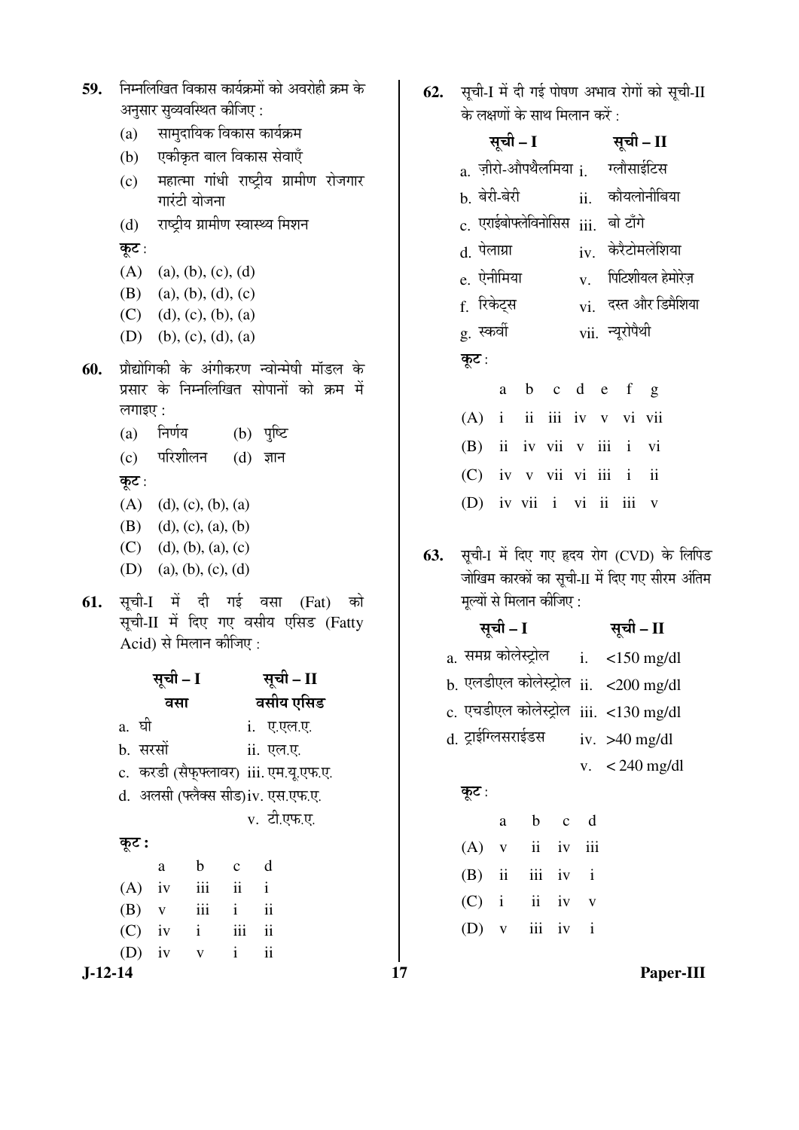| निम्नलिखित विकास कार्यक्रमों को अवरोही क्रम के<br>59. |                                                                      |                                   |                                  |                               | सूची-I में दी गई पोषण अभाव रोगों को सूची-II<br>62. |                                            |  |                                                                                                   |                          |                                                     |              |                          |              |                    |  |                 |                         |  |
|-------------------------------------------------------|----------------------------------------------------------------------|-----------------------------------|----------------------------------|-------------------------------|----------------------------------------------------|--------------------------------------------|--|---------------------------------------------------------------------------------------------------|--------------------------|-----------------------------------------------------|--------------|--------------------------|--------------|--------------------|--|-----------------|-------------------------|--|
|                                                       |                                                                      | अनुसार सुव्यवस्थित कीजिए:         |                                  |                               |                                                    |                                            |  |                                                                                                   |                          | के लक्षणों के साथ मिलान करें :                      |              |                          |              |                    |  |                 |                         |  |
|                                                       | (a)                                                                  |                                   | सामुदायिक विकास कार्यक्रम        |                               |                                                    |                                            |  |                                                                                                   |                          |                                                     |              | सूची – I सूची – II       |              |                    |  |                 |                         |  |
|                                                       | (b)                                                                  |                                   | एकीकृत बाल विकास सेवाएँ          |                               |                                                    |                                            |  |                                                                                                   |                          | $_{\rm a.}$ ज़ीरो-औपथैलमिया $_{\rm i.}$ गलौसाईटिस   |              |                          |              |                    |  |                 |                         |  |
|                                                       | (c)                                                                  |                                   |                                  |                               |                                                    | महात्मा गांधी राष्ट्रीय ग्रामीण रोजगार     |  |                                                                                                   |                          | b. बेरी-बेरी                                        |              |                          |              |                    |  |                 | ii. कौयलोनीबिया         |  |
|                                                       |                                                                      |                                   | गारंटी योजना                     |                               |                                                    |                                            |  |                                                                                                   |                          |                                                     |              |                          |              |                    |  |                 |                         |  |
|                                                       | (d)                                                                  |                                   | राष्ट्रीय ग्रामीण स्वास्थ्य मिशन |                               |                                                    |                                            |  |                                                                                                   |                          | $\rm c.$ एराईबोफ्लेविनोसिस $\rm iii.$               |              |                          |              |                    |  | बो टाँगे        |                         |  |
|                                                       | कूट :                                                                |                                   |                                  |                               |                                                    |                                            |  |                                                                                                   |                          | d. पेलाग्रा                                         |              |                          |              |                    |  |                 | $iv.$ केरैटोमलेशिया     |  |
|                                                       | (A)                                                                  | (a), (b), (c), (d)                |                                  |                               |                                                    |                                            |  |                                                                                                   |                          | e. ऐनीमिया                                          |              |                          |              | V.                 |  |                 | पिटिशीयल हेमोरेज़       |  |
|                                                       | (B)                                                                  | $(C)$ (d), (c), (b), (a)          | (a), (b), (d), (c)               |                               |                                                    |                                            |  |                                                                                                   |                          | f. रिकेट्स                                          |              |                          |              |                    |  |                 | $vi.$ दस्त और डिमैशिया  |  |
|                                                       |                                                                      | (D) (b), (c), (d), (a)            |                                  |                               |                                                    |                                            |  |                                                                                                   |                          | g. स्कर्वी                                          |              |                          |              |                    |  | vii. न्यूरोपैथी |                         |  |
| 60.                                                   |                                                                      |                                   |                                  |                               |                                                    | प्रौद्योगिकी के अंगीकरण न्वोन्मेषी मॉडल के |  |                                                                                                   |                          | कूट :                                               |              |                          |              |                    |  |                 |                         |  |
|                                                       |                                                                      |                                   |                                  |                               |                                                    | प्रसार के निम्नलिखित सोपानों को क्रम में   |  |                                                                                                   |                          |                                                     | a            |                          |              |                    |  | b c d e f g     |                         |  |
|                                                       | लगाइए:                                                               |                                   |                                  |                               |                                                    |                                            |  |                                                                                                   |                          | $(A)$ i                                             |              | $\overline{\mathbf{u}}$  |              |                    |  | iii iv v vi vii |                         |  |
|                                                       | (a)                                                                  | निर्णय                            |                                  |                               | (b) पुष्टि                                         |                                            |  |                                                                                                   |                          | (B)                                                 |              | ii iv vii v iii i vi     |              |                    |  |                 |                         |  |
|                                                       |                                                                      | (c) परिशीलन                       |                                  |                               | $(d)$ ज्ञान                                        |                                            |  |                                                                                                   |                          |                                                     |              |                          |              |                    |  |                 |                         |  |
|                                                       | कूट :                                                                |                                   |                                  |                               |                                                    |                                            |  |                                                                                                   |                          | $(C)$ iv v vii vi iii i                             |              |                          |              |                    |  |                 | $\overline{\mathbf{u}}$ |  |
|                                                       |                                                                      | $(A)$ (d), (c), (b), (a)          |                                  |                               |                                                    |                                            |  |                                                                                                   |                          |                                                     |              | (D) iv vii i vi ii iii v |              |                    |  |                 |                         |  |
|                                                       | (B)                                                                  | (d), (c), (a), (b)                |                                  |                               |                                                    |                                            |  |                                                                                                   |                          |                                                     |              |                          |              |                    |  |                 |                         |  |
|                                                       | (C)<br>(d), (b), (a), (c)                                            |                                   |                                  |                               |                                                    |                                            |  | सूची-1 में दिए गए हृदय रोग (CVD) के लिपिड<br>63.<br>जोखिम कारकों का सूची-II में दिए गए सीरम अंतिम |                          |                                                     |              |                          |              |                    |  |                 |                         |  |
|                                                       | (D) (a), (b), (c), (d)                                               |                                   |                                  |                               |                                                    |                                            |  |                                                                                                   |                          |                                                     |              |                          |              |                    |  |                 |                         |  |
| 61.                                                   | सूची-I में दी गई वसा (Fat) को<br>सूची-II में दिए गए वसीय एसिड (Fatty |                                   |                                  |                               |                                                    |                                            |  |                                                                                                   | मूल्यों से मिलान कीजिए : |                                                     |              |                          |              |                    |  |                 |                         |  |
|                                                       |                                                                      | Acid) से मिलान कीजिए :            |                                  |                               |                                                    |                                            |  |                                                                                                   |                          |                                                     |              |                          |              | सूची – I सूची – II |  |                 |                         |  |
|                                                       |                                                                      |                                   |                                  |                               |                                                    |                                            |  |                                                                                                   |                          | a. समग्र कोलेस्ट्रोल i. $\lt 150$ mg/dl             |              |                          |              |                    |  |                 |                         |  |
|                                                       |                                                                      | सूची – I सूची – II                |                                  |                               |                                                    |                                            |  |                                                                                                   |                          | b. एलडीएल कोलेस्ट्रोल $\,$ ii. $\,$ <200 mg/dl $\,$ |              |                          |              |                    |  |                 |                         |  |
|                                                       |                                                                      | वसा                               |                                  |                               |                                                    | वसीय एसिड                                  |  |                                                                                                   |                          | c. एचडीएल कोलेस्ट्रोल iii. <130 mg/dl               |              |                          |              |                    |  |                 |                         |  |
|                                                       | a. घी                                                                |                                   |                                  |                               | i. ए.एल.ए.                                         |                                            |  |                                                                                                   |                          | d. ट्राईग्लिसराईडस                                  |              |                          |              |                    |  |                 | iv. $>40$ mg/dl         |  |
|                                                       | b. सरसों                                                             |                                   |                                  |                               | ii. एल.ए.                                          |                                            |  |                                                                                                   |                          |                                                     |              |                          |              |                    |  |                 |                         |  |
|                                                       |                                                                      |                                   |                                  |                               |                                                    | c. करडी (सैफ्फ्लावर) iii. एम.यू.एफ.ए.      |  |                                                                                                   |                          |                                                     |              |                          |              |                    |  |                 | v. $<$ 240 mg/dl        |  |
|                                                       |                                                                      | d. अलसी (फ्लैक्स सीड)iv. एस.एफ.ए. |                                  |                               |                                                    |                                            |  |                                                                                                   |                          | कूट :                                               |              |                          |              |                    |  |                 |                         |  |
|                                                       |                                                                      |                                   |                                  |                               | v. टी.एफ.ए.                                        |                                            |  |                                                                                                   |                          |                                                     | $\rm{a}$     | $\mathbf b$              | $\mathbf{C}$ | d                  |  |                 |                         |  |
|                                                       | कूट :                                                                |                                   |                                  |                               |                                                    |                                            |  |                                                                                                   |                          | (A)                                                 | $\mathbf V$  | $\overline{\mathbf{u}}$  | iv           | iii                |  |                 |                         |  |
|                                                       |                                                                      | $\rm{a}$                          | $\mathbf b$                      | $\mathbf c$                   | d                                                  |                                            |  |                                                                                                   |                          | (B)                                                 | $\rm ii$     | $\rm iii$                | iv           | $\mathbf{i}$       |  |                 |                         |  |
|                                                       | (A)<br>(B)                                                           | iv<br>$\mathbf V$                 | iii<br>iii                       | $\mathbf{ii}$<br>$\mathbf{i}$ | $\mathbf{i}$<br>$\ddot{\rm ii}$                    |                                            |  |                                                                                                   |                          | (C)                                                 | $\mathbf{i}$ | $\rm ii$                 | iv           | $\mathbf{V}$       |  |                 |                         |  |
|                                                       | (C)                                                                  | iv                                | $\mathbf{i}$                     | iii                           | $\overline{\mathbf{u}}$                            |                                            |  |                                                                                                   |                          | (D)                                                 | $\mathbf V$  |                          | iii iv       | $\mathbf{i}$       |  |                 |                         |  |
|                                                       | (D)                                                                  | iv                                | $\mathbf V$                      | $\mathbf{i}$                  | $\overline{\mathbf{u}}$                            |                                            |  |                                                                                                   |                          |                                                     |              |                          |              |                    |  |                 |                         |  |
| $J-12-14$                                             |                                                                      |                                   |                                  |                               |                                                    |                                            |  | 17                                                                                                |                          |                                                     |              |                          |              |                    |  |                 | Paper-III               |  |

|     |                                               | सूची – I |             | सूची – II                                         |                                     |                       |   |  |  |  |
|-----|-----------------------------------------------|----------|-------------|---------------------------------------------------|-------------------------------------|-----------------------|---|--|--|--|
|     |                                               |          |             | $_{\rm a.}$ ज़ीरो-औपथैलमिया $_{\rm i.}$ गलौसाईटिस |                                     |                       |   |  |  |  |
|     | <sub>b.</sub> बेरी-बेरी                       |          |             |                                                   |                                     | ii. कौयलोनीबिया       |   |  |  |  |
|     |                                               |          |             |                                                   | c. एराईबोफ्लेविनोसिस iii.  बो टाँगे |                       |   |  |  |  |
|     | d. पेलाग्रा                                   |          |             |                                                   | $iv.$ केरैटोमलेशिया                 |                       |   |  |  |  |
|     | e. ऐनीमिया                                    |          |             |                                                   |                                     | $V.$ पिटिशीयल हेमोरेज |   |  |  |  |
|     | f. रिकेट्स                                    |          |             | vi. दस्त और डिमैशिया                              |                                     |                       |   |  |  |  |
|     | g. स्कर्वी                                    |          |             | vii. न्यूरोपैथी                                   |                                     |                       |   |  |  |  |
|     | कूट:                                          |          |             |                                                   |                                     |                       |   |  |  |  |
|     |                                               |          | a b c d e f |                                                   |                                     |                       | g |  |  |  |
|     | (A) i ii iii iv v vi vii                      |          |             |                                                   |                                     |                       |   |  |  |  |
|     | (B) ii iv vii v iii i vi                      |          |             |                                                   |                                     |                       |   |  |  |  |
|     | (C) iv v vii vi iii i ii                      |          |             |                                                   |                                     |                       |   |  |  |  |
|     | (D) iv vii i vi ii iii v                      |          |             |                                                   |                                     |                       |   |  |  |  |
|     |                                               |          |             |                                                   |                                     |                       |   |  |  |  |
| 63. | सूची-1 में दिए गए हृदय रोग (CVD) के लिपिड     |          |             |                                                   |                                     |                       |   |  |  |  |
|     | जोखिम कारकों का सूची-II में दिए गए सीरम अंतिम |          |             |                                                   |                                     |                       |   |  |  |  |
|     | मूल्यों से मिलान कीजिए :                      |          |             |                                                   |                                     |                       |   |  |  |  |
|     |                                               |          |             |                                                   |                                     |                       |   |  |  |  |

|                       | सूची – I     | सूची – II         |  |                                              |
|-----------------------|--------------|-------------------|--|----------------------------------------------|
| a.  समग्र कोलेस्ट्रोल |              |                   |  | i. $\lt 150$ mg/dl                           |
|                       |              |                   |  | <b>b</b> . एलडीएल कोलेस्ट्रोल ii. <200 mg/dl |
|                       |              |                   |  | $c$ . एचडीएल कोलेस्ट्रोल iii. <130 mg/dl     |
| d. ट्राईग्लिसराईडस    |              |                   |  | iv. $>40$ mg/dl                              |
|                       |              |                   |  | v. $<$ 240 mg/dl                             |
| कूट :                 |              |                   |  |                                              |
|                       |              | a b c d           |  |                                              |
| $(A)$ v               |              | ii iv iii         |  |                                              |
|                       |              | $(B)$ ii iii iv i |  |                                              |
|                       |              | $(C)$ i ii iv v   |  |                                              |
| (D)                   | $\mathbf{V}$ | iii iv i          |  |                                              |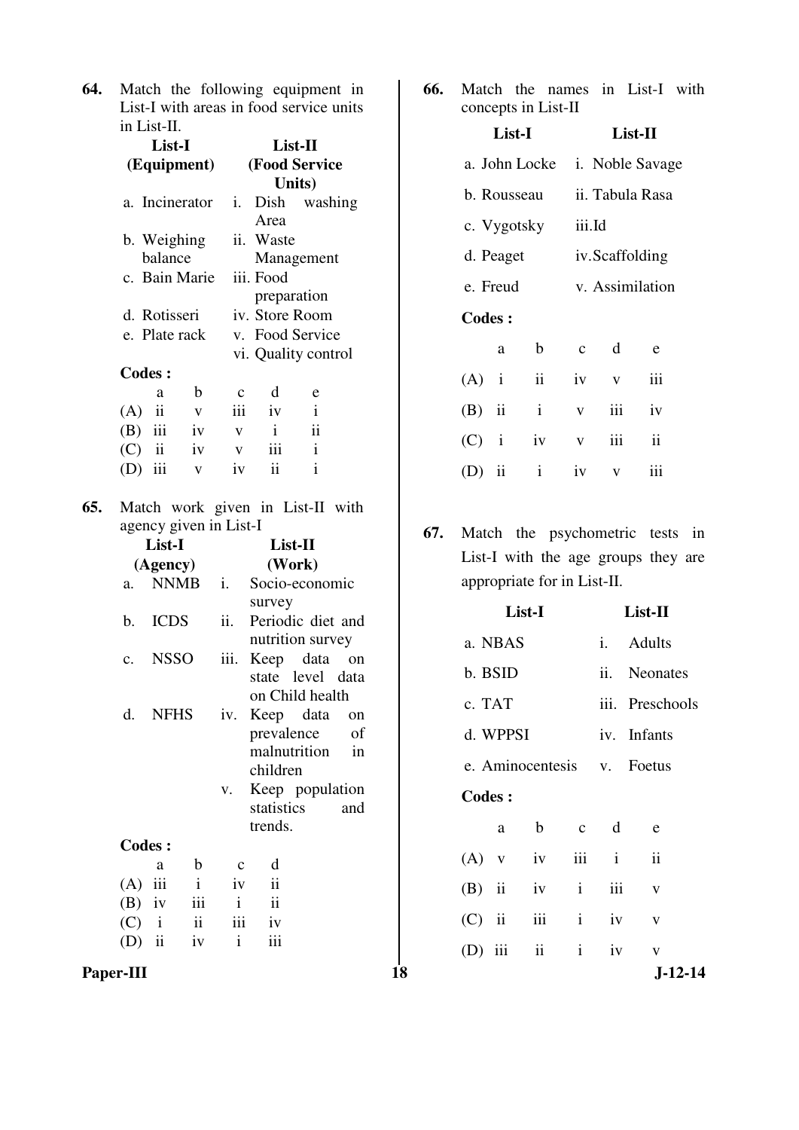**64.** Match the following equipment in List-I with areas in food service units in List-II.

|                | $List-II$             |              |                                                  |  |  |  |  |
|----------------|-----------------------|--------------|--------------------------------------------------|--|--|--|--|
| (Equipment)    | <b>(Food Service)</b> |              |                                                  |  |  |  |  |
|                | Units)                |              |                                                  |  |  |  |  |
| a. Incinerator |                       |              |                                                  |  |  |  |  |
|                | Area                  |              |                                                  |  |  |  |  |
| b. Weighing    |                       |              |                                                  |  |  |  |  |
|                | Management            |              |                                                  |  |  |  |  |
| c. Bain Marie  | iii. Food             |              |                                                  |  |  |  |  |
|                | preparation           |              |                                                  |  |  |  |  |
|                | iv. Store Room        |              |                                                  |  |  |  |  |
| e. Plate rack  | v. Food Service       |              |                                                  |  |  |  |  |
|                |                       |              |                                                  |  |  |  |  |
|                |                       |              |                                                  |  |  |  |  |
| с              | d                     | e            |                                                  |  |  |  |  |
| iii            | iv                    | $\mathbf{i}$ |                                                  |  |  |  |  |
| iv<br>V        | i                     | ii           |                                                  |  |  |  |  |
|                |                       | i.           | Dish washing<br>ii. Waste<br>vi. Quality control |  |  |  |  |

**65.** Match work given in List-II with agency given in List-I

 (C) ii iv v iii i (D) iii v iv ii i

|               | List-I      |              |              |                         | List-II           |    |  |  |
|---------------|-------------|--------------|--------------|-------------------------|-------------------|----|--|--|
|               | (Agency)    |              | (Work)       |                         |                   |    |  |  |
| a.            | <b>NNMB</b> |              | i.           |                         | Socio-economic    |    |  |  |
|               |             |              |              | survey                  |                   |    |  |  |
| b.            | <b>ICDS</b> |              | ii.          |                         | Periodic diet and |    |  |  |
|               |             |              |              |                         | nutrition survey  |    |  |  |
| c.            | <b>NSSO</b> |              | iii.         |                         | Keep data on      |    |  |  |
|               |             |              |              |                         | state level data  |    |  |  |
|               |             |              |              |                         | on Child health   |    |  |  |
| d.            | <b>NFHS</b> |              | iv.          |                         | Keep data         | on |  |  |
|               |             |              |              |                         | prevalence of     |    |  |  |
|               |             |              |              |                         | malnutrition      | in |  |  |
|               |             |              |              | children                |                   |    |  |  |
|               |             |              | V.           |                         | Keep population   |    |  |  |
|               |             |              |              |                         | statistics and    |    |  |  |
|               |             |              |              | trends.                 |                   |    |  |  |
| <b>Codes:</b> |             |              |              |                         |                   |    |  |  |
|               | a           | b            | $\mathbf{C}$ | d                       |                   |    |  |  |
| (A)           | iii         | $\mathbf{i}$ | iv           | $\overline{\mathbf{u}}$ |                   |    |  |  |
| $(B)$ iv      |             | iii          | $\mathbf{i}$ | ii                      |                   |    |  |  |
| $(C)$ i       |             |              |              | ii iii iv               |                   |    |  |  |
| $(D)$ ii      |             | iv           | $\mathbf{i}$ | iii                     |                   |    |  |  |

- **66.** Match the names in List-I with concepts in List-II **List-I List-II**  a. John Locke i. Noble Savage b. Rousseau ii. Tabula Rasa c. Vygotsky iii.Id d. Peaget iv. Scaffolding e. Freud v. Assimilation **Codes :** a b c d e (A) i ii iv v iii (B) ii i v iii iv (C) i iv v iii ii (D) ii i iv v iii
- **67.** Match the psychometric tests in List-I with the age groups they are appropriate for in List-II.

|               |                          |               |                    | survey                                |          |    |               |              | List-I           |              |              | List-II                  |
|---------------|--------------------------|---------------|--------------------|---------------------------------------|----------|----|---------------|--------------|------------------|--------------|--------------|--------------------------|
| b.            | <b>ICDS</b>              |               | ii.                | Periodic diet and<br>nutrition survey |          |    |               | a. NBAS      |                  |              | i.           | Adults                   |
| c.            | <b>NSSO</b>              |               | $\overline{111}$ . | Keep data on<br>state level data      |          |    |               | b. BSID      |                  |              | ii.          | <b>Neonates</b>          |
| d.            | <b>NFHS</b>              |               |                    | on Child health<br>iv. Keep data      | on       |    | c. TAT        |              |                  |              |              | iii. Preschools          |
|               |                          |               |                    | prevalence<br>malnutrition            | of<br>in |    |               | d. WPPSI     |                  |              |              | iv. Infants              |
|               |                          |               |                    | children                              |          |    |               |              | e. Aminocentesis |              | V.           | Foetus                   |
|               |                          |               | V.                 | Keep population<br>statistics         | and      |    | <b>Codes:</b> |              |                  |              |              |                          |
|               |                          |               |                    | trends.                               |          |    |               | a            | $\mathbf b$      | $\mathbf{C}$ | d            | e                        |
| <b>Codes:</b> | a                        | b             | $\mathbf{C}$       | d                                     |          |    | (A)           | $\mathbf{V}$ | iv               | iii          | $\mathbf{i}$ | $\overline{\textbf{ii}}$ |
| (A)           | iii                      | $\mathbf{i}$  | iv                 | $\mathbf{ii}$                         |          |    | (B)           | ii           | iv               | $\mathbf{i}$ | iii          | V                        |
| (B)           | iv                       | iii           | $\mathbf{i}$       | $\overline{\mathbf{1}}$               |          |    |               |              |                  |              |              |                          |
| (C)           | $\mathbf{i}$             | $\mathbf{ii}$ | iii                | iv                                    |          |    | (C)           | ii           | iii              | $\mathbf{i}$ | iv           | V                        |
| (D)           | $\overline{\mathbf{ii}}$ | iv            | $\mathbf{i}$       | iii                                   |          |    | (D)           | iii          | ii               | $\mathbf{i}$ | 1V           | V                        |
| Paper-III     |                          |               |                    |                                       |          | 18 |               |              |                  |              |              | $J-12-14$                |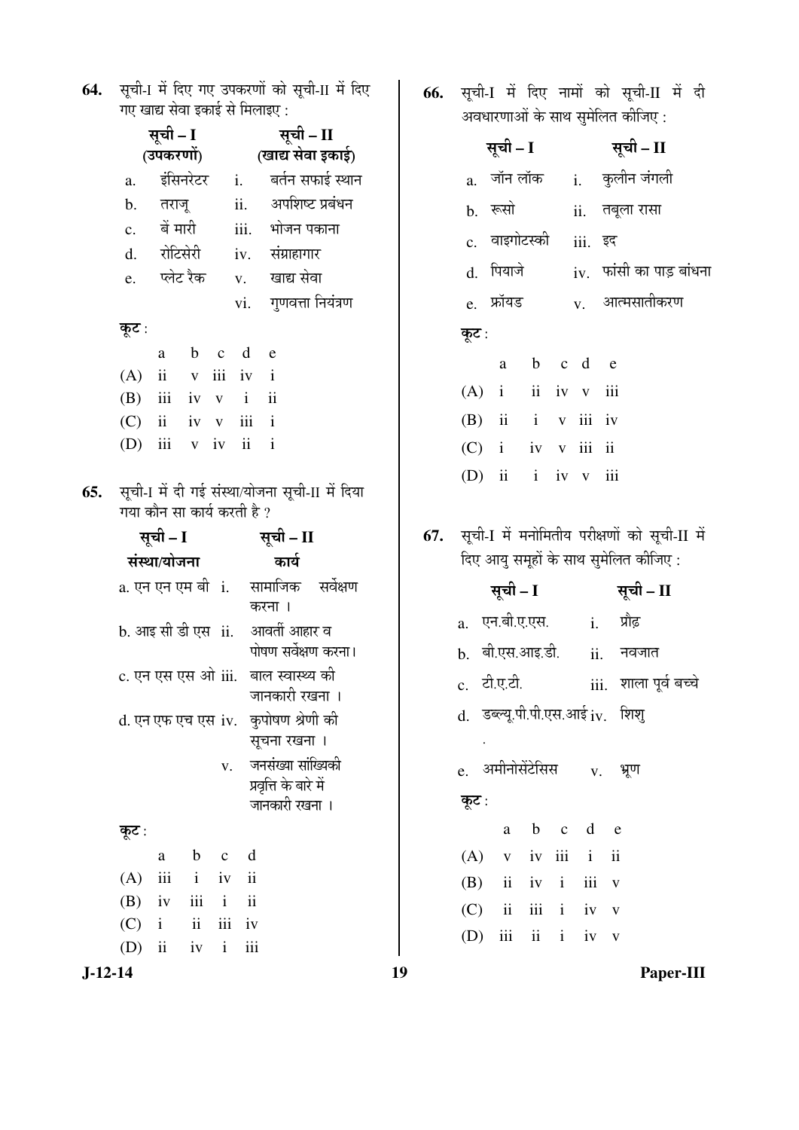| 64. सूची-1 में दिए गए उपकरणों को सूची-II में दिए |
|--------------------------------------------------|
| गए खाद्य सेवा इकाई से मिलाइए :                   |

|     |                                                                                               | सूची – I<br>(उपकरणों)    |              |              | सूची – II<br>(खाद्य सेवा इकाई) |                                                                                                                                                                                                                                                                                                                  |  |  |
|-----|-----------------------------------------------------------------------------------------------|--------------------------|--------------|--------------|--------------------------------|------------------------------------------------------------------------------------------------------------------------------------------------------------------------------------------------------------------------------------------------------------------------------------------------------------------|--|--|
|     | a.                                                                                            | इंसिनरेटर                |              |              | i.                             | बर्तन सफाई स्थान                                                                                                                                                                                                                                                                                                 |  |  |
|     | b.                                                                                            | तराजू                    |              |              | ii.                            | अपशिष्ट प्रबंधन                                                                                                                                                                                                                                                                                                  |  |  |
|     | $\mathbf{c}$ .                                                                                | बें मारी                 |              |              |                                | iii. भोजन पकाना                                                                                                                                                                                                                                                                                                  |  |  |
|     |                                                                                               | d. रोटिसेरी              |              |              |                                | iv. संग्राहागार                                                                                                                                                                                                                                                                                                  |  |  |
|     | e.                                                                                            | प्लेट रैक                |              |              |                                | v. खाद्य सेवा                                                                                                                                                                                                                                                                                                    |  |  |
|     |                                                                                               |                          |              |              |                                | vi. गुणवत्ता नियंत्रण                                                                                                                                                                                                                                                                                            |  |  |
|     | कूट :                                                                                         |                          |              |              |                                |                                                                                                                                                                                                                                                                                                                  |  |  |
|     |                                                                                               | a                        |              |              | b c d e                        |                                                                                                                                                                                                                                                                                                                  |  |  |
|     | (A)                                                                                           |                          |              |              | $ii$ v $iii$ $iv$ $i$          |                                                                                                                                                                                                                                                                                                                  |  |  |
|     | (B) iii iv v i ii                                                                             |                          |              |              |                                |                                                                                                                                                                                                                                                                                                                  |  |  |
|     | $(C)$ ii iv v iii i                                                                           |                          |              |              |                                |                                                                                                                                                                                                                                                                                                                  |  |  |
|     | (D) iii $v$ iv ii                                                                             |                          |              |              |                                | $\mathbf{i}$                                                                                                                                                                                                                                                                                                     |  |  |
| 65. | गया कौन सा कार्य करती है ?<br>b. आइ सी डी एस) ii.<br>c. एन एस एस ओ iii.<br>d. एन एफ एच एस iv. | सूची – I<br>संस्था/योजना |              |              | V.                             | सूची-1 में दी गई संस्था/योजना सूची-II में दिया<br>सूची – II<br>कार्य<br>a. एन एन एम बी ां.    सामाजिक    सर्वेक्षण<br>करना ।<br>आवर्ती आहार व<br>पोषण सर्वेक्षण करना।<br>बाल स्वास्थ्य की<br>जानकारी रखना ।<br>कुपोषण श्रेणी की<br>सूचना रखना ।<br>जनसंख्या सांख्यिकी<br>प्रवृत्ति के बारे में<br>जानकारी रखना । |  |  |
|     | कूट :                                                                                         |                          |              |              |                                |                                                                                                                                                                                                                                                                                                                  |  |  |
|     |                                                                                               | a                        | $\mathbf b$  | $\mathbf c$  | d                              |                                                                                                                                                                                                                                                                                                                  |  |  |
|     | (A)                                                                                           | iii                      | $\mathbf{i}$ | iv           | ii                             |                                                                                                                                                                                                                                                                                                                  |  |  |
|     | $(B)$ iv iii i                                                                                |                          |              |              | ii                             |                                                                                                                                                                                                                                                                                                                  |  |  |
|     | $(C)$ i ii                                                                                    |                          |              |              | iii iv                         |                                                                                                                                                                                                                                                                                                                  |  |  |
|     | $(D)$ ii                                                                                      |                          | iv           | $\mathbf{i}$ | iii                            |                                                                                                                                                                                                                                                                                                                  |  |  |

66. सूची-I में दिए नामों को सूची-II में दी ्<br>अवधारणाओं के साथ सुमेलित कीजिए :

|       | सूची – I              |           |         | सूची – II                                    |
|-------|-----------------------|-----------|---------|----------------------------------------------|
|       | a. जॉन लॉक            |           |         | i. कुलीन जंगली                               |
|       | b. रूसो               |           |         | ii. तबूला रासा                               |
|       | c. वाइगोटस्की         |           | iii. इद |                                              |
|       | d. पियाजे             |           |         | $iv.$ फांसी का पाड़ बांधना                   |
|       | e. फ्रॉयड             |           |         | $_{\rm V.}$ आत्मसातीकरण                      |
| कूट : |                       |           |         |                                              |
|       |                       | a b c d e |         |                                              |
|       | $(A)$ i ii iv v iii   |           |         |                                              |
|       | $(B)$ ii i v iii iv   |           |         |                                              |
|       | $(C)$ i iv v iii ii   |           |         |                                              |
|       | (D) ii $i$ iv $v$ iii |           |         |                                              |
|       |                       |           |         |                                              |
|       |                       |           |         | सूची-I में मनोमितीय परीक्षणों को सूची-II में |
|       |                       |           |         | दिए आयु समूहों के साथ सुमेलित कीजिए :        |
|       | सूची – I              |           |         | सूची – II                                    |
|       | a. एन.बी.ए.एस.        |           |         | <u>i.</u> प्रौढ़                             |
|       |                       |           |         | b. बी.एस.आइ.डी.   ii. नवजात                  |
|       | c. टी.ए.टी.           |           |         | iii.   शाला पूर्व बच्चे                      |
| d.    |                       |           |         | डब्ल्यू.पी.पी.एस.आई iv. शिशु                 |
|       |                       |           |         |                                              |
|       |                       |           |         | e. अमीनोसेंटेसिस v. भ्रूण                    |
| कूट : |                       |           |         |                                              |
|       | a                     | b c d e   |         |                                              |
|       | $(A)$ v iv iii i      |           |         | ii                                           |
|       | $(B)$ ii iv i iii v   |           |         |                                              |
|       | $(C)$ ii iii i iv v   |           |         |                                              |

(D) iii ii i iv  $v$ 

 $J-12-14$ 

 $19$ 

67.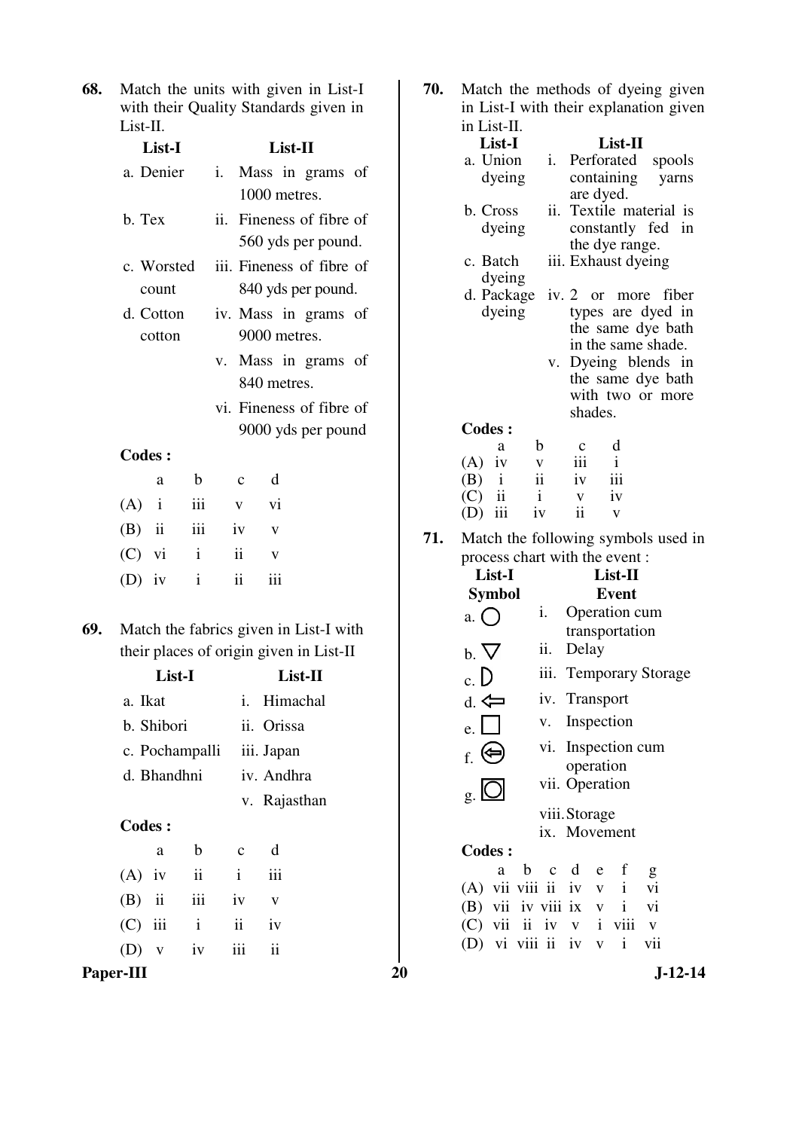**68.** Match the units with given in List-I with their Quality Standards given in List-II.

|     | List-I        | List-II             |                           |                     |                         |              |                                                                                   |  |
|-----|---------------|---------------------|---------------------------|---------------------|-------------------------|--------------|-----------------------------------------------------------------------------------|--|
|     |               | a. Denier           |                           |                     |                         | 1000 metres. | i. Mass in grams of                                                               |  |
|     | b. Tex        |                     |                           |                     |                         |              | ii. Fineness of fibre of<br>560 yds per pound.                                    |  |
|     |               | c. Worsted<br>count |                           |                     |                         |              | iii. Fineness of fibre of<br>840 yds per pound.                                   |  |
|     |               | d. Cotton<br>cotton |                           |                     |                         | 9000 metres. | iv. Mass in grams of                                                              |  |
|     |               |                     |                           |                     |                         | 840 metres.  | v. Mass in grams of                                                               |  |
|     |               |                     |                           |                     |                         |              | vi. Fineness of fibre of<br>9000 yds per pound                                    |  |
|     | <b>Codes:</b> |                     |                           |                     |                         |              |                                                                                   |  |
|     |               | a                   | b                         | $\mathbf{c}$        | d                       |              |                                                                                   |  |
|     | $(A)$ i       |                     | iii                       | $\mathbf{V}$        | vi                      |              |                                                                                   |  |
|     |               | $(B)$ ii            | $\overline{\mathbf{iii}}$ | iv                  | $\mathbf{V}$            |              |                                                                                   |  |
|     | $(C)$ vi      |                     | $\mathbf{i}$              | ii                  | $\mathbf{V}$            |              |                                                                                   |  |
|     | $(D)$ iv      |                     | $\mathbf{i}$              | $\ddot{\mathbf{i}}$ | iii                     |              |                                                                                   |  |
| 69. |               |                     |                           |                     |                         |              | Match the fabrics given in List-I with<br>their places of origin given in List-II |  |
|     |               | List-I              |                           |                     |                         |              | List-II                                                                           |  |
|     | a. Ikat       |                     |                           |                     |                         |              | i. Himachal                                                                       |  |
|     |               | b. Shibori          |                           |                     |                         | ii. Orissa   |                                                                                   |  |
|     |               | c. Pochampalli      |                           |                     |                         | iii. Japan   |                                                                                   |  |
|     |               | d. Bhandhni         |                           |                     |                         | iv. Andhra   |                                                                                   |  |
|     |               |                     |                           |                     |                         |              | v. Rajasthan                                                                      |  |
|     | <b>Codes:</b> |                     |                           |                     |                         |              |                                                                                   |  |
|     |               | a                   | b                         | $\mathbf c$         | d                       |              |                                                                                   |  |
|     | $(A)$ iv      |                     | $\mathbf{ii}$             | $\mathbf{i}$        | iii                     |              |                                                                                   |  |
|     | $(B)$ ii      |                     | iii                       | iv                  | $\overline{\mathbf{V}}$ |              |                                                                                   |  |
|     | $(C)$ iii     |                     | $\mathbf{i}$              | $\mathbf{ii}$       | iv                      |              |                                                                                   |  |
|     | (D)           | $\mathbf{V}$        | iv                        | iii                 | ii                      |              |                                                                                   |  |

Paper-III 20 J-12-14 **70.** Match the methods of dyeing given in List-I with their explanation given in List-II. **List-I List-II**  a. Union dyeing i. Perforated spools containing yarns are dyed. b. Cross dyeing ii. Textile material is constantly fed in the dye range. c. Batch dyeing iii. Exhaust dyeing d. Package iv. 2 or more fiber dyeing types are dyed in the same dye bath in the same shade. v. Dyeing blends in the same dye bath with two or more shades. **Codes :** a b c d (A) iv  $v$  iii i<br>(B) i ii iv iii (B)  $i$  ii iv iii<br>(C) ii  $i$  v iv  $(C)$  ii i v (D) iii iv ii v **71.** Match the following symbols used in process chart with the event : **List-I List-II Symbol Event**  a.  $\bigcap$  i. Operation cum transportation  $b. \nabla$  ii. Delay  $c. D$ iii. Temporary Storage  $d. \Leftrightarrow$  iv. Transport  $e.$  v. Inspection  $f.$   $\bigoplus$ vi. Inspection cum operation  $g.$   $\Box$ vii. Operation viii. Storage ix. Movement **Codes :** a b c d e f g (A) vii viii ii iv v i vi (B) vii iv viii ix v i vi (C) vii ii iv v i viii v (D) vi viii ii iv v i vii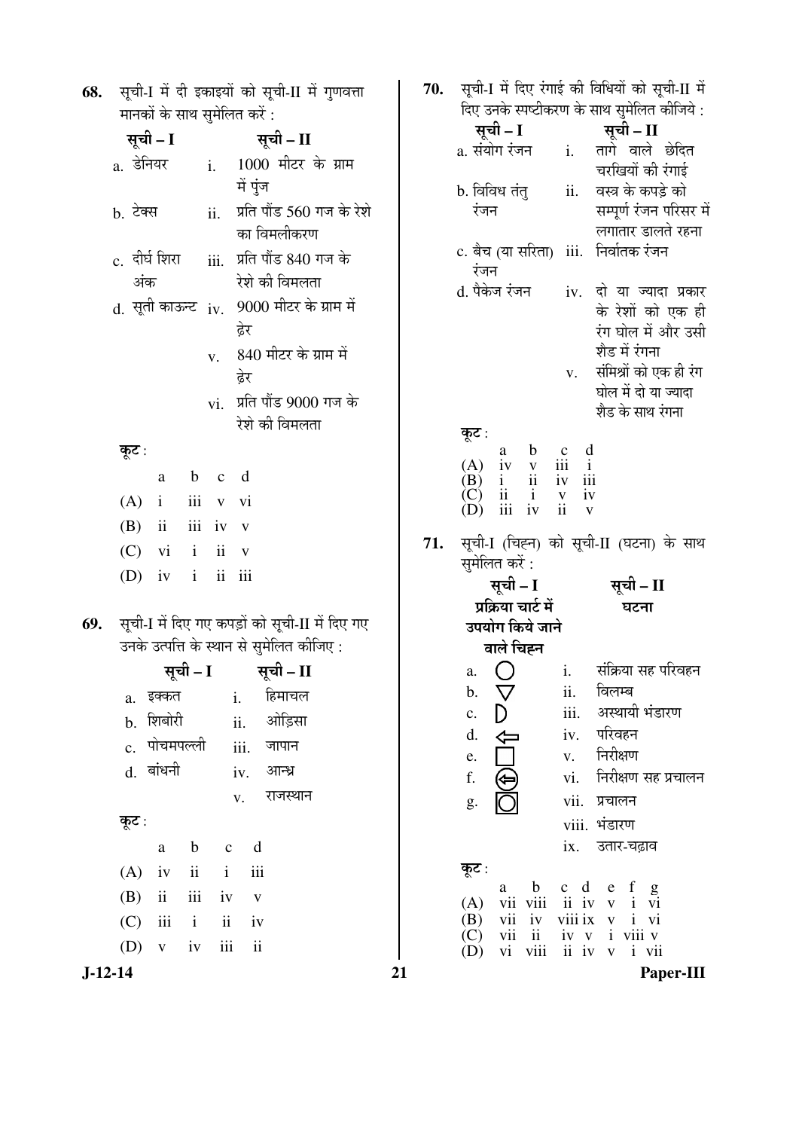| 68. सूची-I में दी इकाइयों को सूची-II में गुणवत्ता |
|---------------------------------------------------|
| मानकों के साथ सुमेलित करें :                      |

|     |                       |              | ◡       |                      |                                                                                             |  |
|-----|-----------------------|--------------|---------|----------------------|---------------------------------------------------------------------------------------------|--|
|     | सूची – I              |              |         |                      | सूची – II                                                                                   |  |
|     | a. डेनियर             |              | i.      | में पुंज             | 1000 मीटर के ग्राम                                                                          |  |
|     | b. टेक्स              |              | ii.     |                      | प्रति पौंड 560 गज के रेशे<br>का विमलीकरण                                                    |  |
|     | c.  दीर्घ शिरा<br>अंक |              | iii.    |                      | प्रति पौंड 840 गज के<br>रेशे की विमलता                                                      |  |
|     |                       |              |         | ढेर                  | d. सूती काऊन्ट iv. 9000 मीटर के ग्राम में                                                   |  |
|     |                       |              | V.      | ढेर                  | 840 मीटर के ग्राम में                                                                       |  |
|     |                       |              |         |                      | vi. प्रति पौंड 9000 गज के<br>रेशे की विमलता                                                 |  |
|     | कूट∶                  |              |         |                      |                                                                                             |  |
|     |                       |              | a b c d |                      |                                                                                             |  |
|     | $(A)$ i iii v vi      |              |         |                      |                                                                                             |  |
|     | $(B)$ ii iii iv v     |              |         |                      |                                                                                             |  |
|     | $(C)$ vi i ii v       |              |         |                      |                                                                                             |  |
|     | (D) $iv$ i ii iii     |              |         |                      |                                                                                             |  |
| 69. |                       |              |         |                      | सूची-I में दिए गए कपड़ों को सूची-II में दिए गए<br>उनके उत्पत्ति के स्थान से सुमेलित कीजिए : |  |
|     |                       |              |         |                      | सूची – I सूची – II                                                                          |  |
|     |                       | a. इक्कत     |         |                      | <u>i.</u> हिमाचल                                                                            |  |
|     |                       |              |         |                      | b. शिबोरी      ii. ओड़िसा                                                                   |  |
|     |                       | c. पोचमपल्ली |         |                      | iii. जापान                                                                                  |  |
|     |                       | d. बांधनी    |         |                      | iv. आन्ध्र                                                                                  |  |
|     |                       |              |         | V.                   | राजस्थान                                                                                    |  |
|     | कूट :                 |              |         |                      |                                                                                             |  |
|     |                       | $\rm{a}$     | b c     | d                    |                                                                                             |  |
|     | $(A)$ iv ii i         |              |         | iii                  |                                                                                             |  |
|     | $(B)$ ii iii iv v     |              |         |                      |                                                                                             |  |
|     | $(C)$ iii i           |              | ii      | iv                   |                                                                                             |  |
|     | $(D)$ v iv            |              |         | iii<br>$\mathbf{ii}$ |                                                                                             |  |

| 70. |  |  |  |  | सूची-I में दिए रंगाई की विधियों को सूची-II में |  |
|-----|--|--|--|--|------------------------------------------------|--|
|     |  |  |  |  | दिए उनके स्पष्टीकरण के साथ सुमेलित कीजिये :    |  |

|                                                                                                             |                             | ादए उनक स्पष्टाकरण क साथ सुमालत कााजय :                                  |
|-------------------------------------------------------------------------------------------------------------|-----------------------------|--------------------------------------------------------------------------|
| सूची – I                                                                                                    |                             | सूची – II                                                                |
| a. संयोग रंजन                                                                                               | i.                          | तागे वाले छेदित<br>चरखियों की रंगाई                                      |
|                                                                                                             |                             | वस्त्र के कपड़े को                                                       |
| b. विविध तंत्<br>रंजन                                                                                       | ii.                         |                                                                          |
|                                                                                                             |                             | सम्पूर्ण रंजन परिसर में                                                  |
|                                                                                                             |                             | लगातार डालते रहना                                                        |
| c. बैच (या सरिता)                                                                                           | iii.                        | निर्वातक रंजन                                                            |
| रंजन                                                                                                        |                             |                                                                          |
| d. पैकेज रंजन                                                                                               |                             | iv. दो या ज्यादा प्रकार                                                  |
|                                                                                                             |                             | के रेशों को एक ही                                                        |
|                                                                                                             |                             | रंग घोल में और उसी                                                       |
|                                                                                                             |                             | शैड में रंगना                                                            |
|                                                                                                             | V.                          | संमिश्रों को एक ही रंग                                                   |
|                                                                                                             |                             | घोल में दो या ज्यादा                                                     |
|                                                                                                             |                             | शैड के साथ रंगना                                                         |
| कूट :                                                                                                       |                             |                                                                          |
| $\begin{array}{cc} a & c \\ iv & y \\ i & ii \end{array}$                                                   | $\frac{c}{iii}$             | $\mathbf d$                                                              |
| (A)<br>(B)                                                                                                  | iv                          | $\mathbf{i}$<br>iii                                                      |
| $\rm i$<br>$\ddot{\rm n}$<br>(C)                                                                            |                             | iv                                                                       |
| iv<br>iii                                                                                                   | $\frac{v}{i}$               | V                                                                        |
|                                                                                                             |                             | सूची-I (चिह्न) को सूची-II (घटना) के साथ                                  |
| सुमेलित करें :<br>सूची – I                                                                                  |                             | सूची – II                                                                |
| प्रक्रिया चार्ट में                                                                                         |                             | घटना                                                                     |
| उपयोग किये जाने                                                                                             |                             |                                                                          |
| वाले चिह्न                                                                                                  |                             |                                                                          |
|                                                                                                             |                             | संक्रिया सह परिवहन                                                       |
| a.                                                                                                          | i.                          |                                                                          |
| $\nabla$<br>b.                                                                                              | ii.                         | विलम्ब                                                                   |
| c.                                                                                                          | iii.                        | अस्थायी भंडारण                                                           |
| d.                                                                                                          | iv.                         | परिवहन                                                                   |
| e.                                                                                                          | V.                          | निरीक्षण                                                                 |
| f.                                                                                                          | vi.                         | निरीक्षण सह प्रचालन                                                      |
| g.                                                                                                          | vii.                        | प्रचालन                                                                  |
|                                                                                                             | viii.                       | भंडारण                                                                   |
|                                                                                                             |                             |                                                                          |
|                                                                                                             | ix.                         | उतार-चढ़ाव                                                               |
| कूट :                                                                                                       |                             |                                                                          |
|                                                                                                             |                             |                                                                          |
| $\mathbf b$<br>a                                                                                            | $c \, d$                    | f<br>e                                                                   |
| vii viii<br>(A)                                                                                             | ii iv                       | $\mathbf{i}$<br>$\mathbf{V}$<br>V1                                       |
| vii<br>(B)<br>iv<br>$\overline{\text{(C)}}$<br>vii<br>$\mathbf{ii}$<br>$\big(\mathbf{D}\big)$<br>viii<br>vi | iv v<br>$\ddot{\mathbf{i}}$ | viii ix v<br>$\mathbf{i}$<br>vi<br>i viii v<br>vii<br>iv<br>$\mathbf{i}$ |

 $\overline{\mathbf{21}}$ 

71.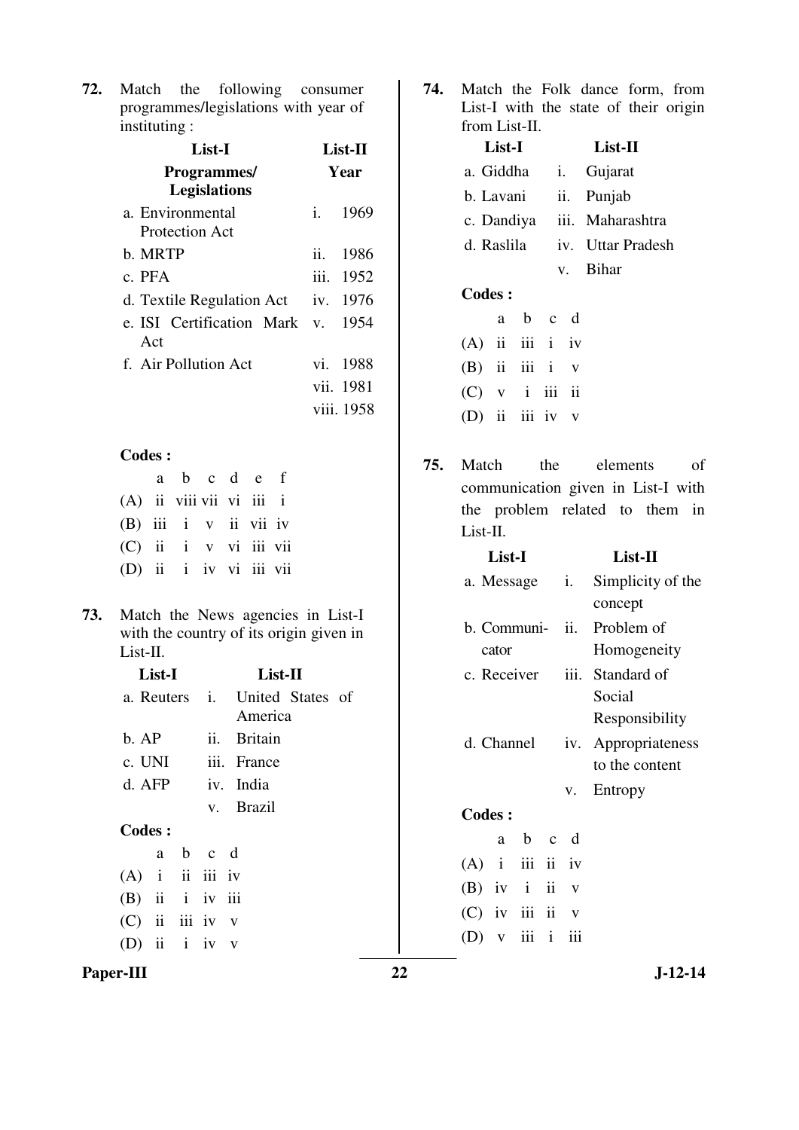**72.** Match the following consumer programmes/legislations with year of instituting :

| List-I                                     | List-II |            |  |  |
|--------------------------------------------|---------|------------|--|--|
| <b>Programmes</b> /<br><b>Legislations</b> | Year    |            |  |  |
| a. Environmental<br>Protection Act         | $i_{-}$ | 1969       |  |  |
| b. MRTP                                    |         | ii. 1986   |  |  |
| c. PFA                                     |         | iii. 1952  |  |  |
| d. Textile Regulation Act                  |         | iv. 1976   |  |  |
| e. ISI Certification Mark v. 1954<br>Act   |         |            |  |  |
| f. Air Pollution Act                       |         | vi. 1988   |  |  |
|                                            |         | vii. 1981  |  |  |
|                                            |         | viii. 1958 |  |  |

## **Codes :**

|                          | a b c d e f |  |  |
|--------------------------|-------------|--|--|
| (A) ii viii vii vi iii i |             |  |  |
| $(B)$ iii i v ii vii iv  |             |  |  |
| (C) ii i v vi iii vii    |             |  |  |
| (D) ii i iv vi iii vii   |             |  |  |

**73.** Match the News agencies in List-I with the country of its origin given in List-II.

| List-I            |  |         |  |                                           | List-II     |  |  |  |  |  |
|-------------------|--|---------|--|-------------------------------------------|-------------|--|--|--|--|--|
|                   |  |         |  | a. Reuters i. United States of<br>America |             |  |  |  |  |  |
| b. AP             |  |         |  |                                           | ii. Britain |  |  |  |  |  |
| c. UNI            |  |         |  |                                           | iii. France |  |  |  |  |  |
| d. AFP            |  |         |  |                                           | iv. India   |  |  |  |  |  |
|                   |  |         |  |                                           | v. Brazil   |  |  |  |  |  |
| Codes:            |  |         |  |                                           |             |  |  |  |  |  |
|                   |  | a b c d |  |                                           |             |  |  |  |  |  |
| $(A)$ i ii iii iv |  |         |  |                                           |             |  |  |  |  |  |
| $(B)$ ii i iv iii |  |         |  |                                           |             |  |  |  |  |  |
| $(C)$ ii iii iv v |  |         |  |                                           |             |  |  |  |  |  |
| (D) ii $i$ iv $v$ |  |         |  |                                           |             |  |  |  |  |  |
|                   |  |         |  |                                           |             |  |  |  |  |  |

Paper-III 22 J-12-14

**74.** Match the Folk dance form, from List-I with the state of their origin from List-II.

|            | List-I |                   | $List-II$ |  |                   |  |
|------------|--------|-------------------|-----------|--|-------------------|--|
| a. Giddha  |        |                   |           |  | <i>i.</i> Gujarat |  |
| b. Lavani  |        |                   |           |  | ii. Punjab        |  |
| c. Dandiya |        |                   |           |  | iii. Maharashtra  |  |
| d. Raslila |        |                   |           |  | iv. Uttar Pradesh |  |
|            |        |                   |           |  | v. Bihar          |  |
| Codes :    |        |                   |           |  |                   |  |
|            | a —    | b c d             |           |  |                   |  |
|            |        | $(A)$ ii iii i iv |           |  |                   |  |
|            |        | $(B)$ ii iii i v  |           |  |                   |  |

| $(C)$ v i iii ii  |  |  |
|-------------------|--|--|
| (D) ii iii iv $v$ |  |  |

**75.** Match the elements of communication given in List-I with the problem related to them in List-II.

|                   | List-I       |       |     | List-II                    |
|-------------------|--------------|-------|-----|----------------------------|
| a. Message i.     |              |       |     | Simplicity of the          |
|                   |              |       |     | concept                    |
|                   |              |       |     | b. Communi- ii. Problem of |
|                   | cator        |       |     | Homogeneity                |
| c. Receiver       |              |       |     | iii. Standard of           |
|                   |              |       |     | Social                     |
|                   |              |       |     | Responsibility             |
| d. Channel        |              |       |     | iv. Appropriateness        |
|                   |              |       |     | to the content             |
|                   |              |       | V.  | Entropy                    |
| <b>Codes:</b>     |              |       |     |                            |
|                   | a            | $b$ c | d   |                            |
| $(A)$ i iii ii iv |              |       |     |                            |
| $(B)$ iv i ii     |              |       | V   |                            |
| $(C)$ iv iii ii   |              |       | V   |                            |
| (D)               | $\mathbf{V}$ | iii i | iii |                            |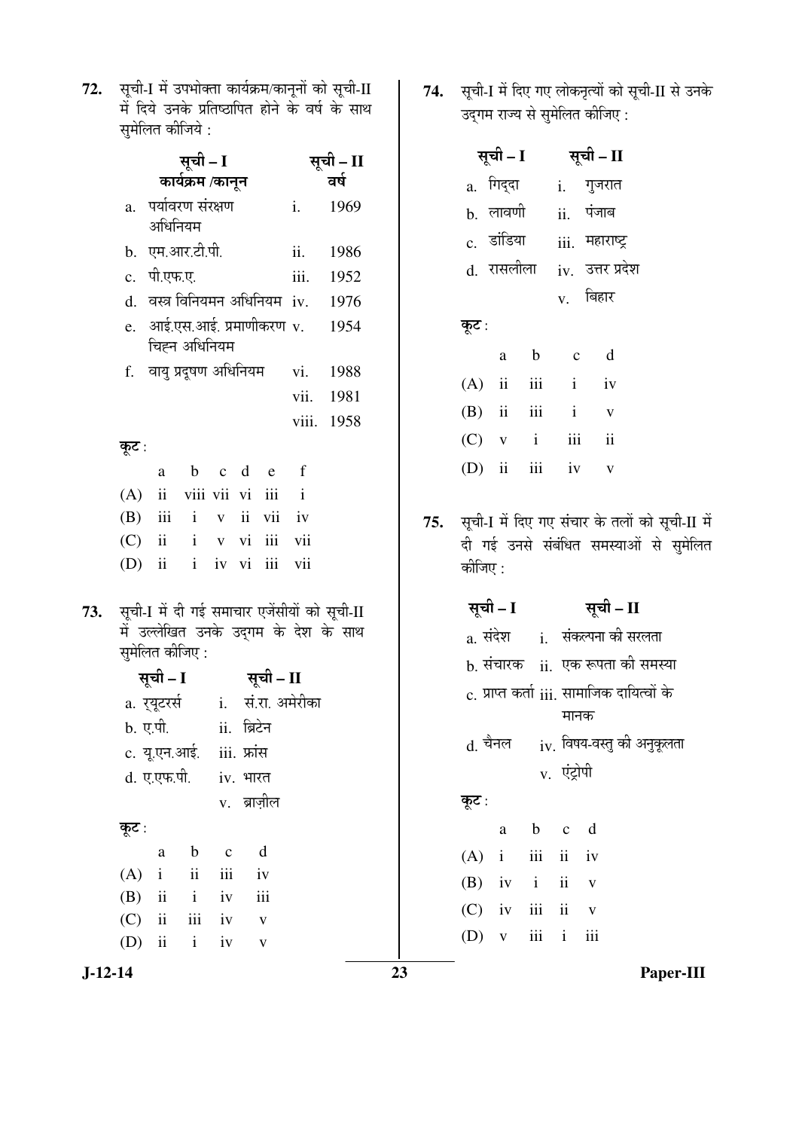72. सूची-I में उपभोक्ता कार्यक्रम/कानूनों को सूची-II<br>में दिये उनके प्रतिष्ठापित होने के वर्ष के साथ .<br>सुमेलित कीजिये :

|             |                                                                                                          |                                 | सूची – II    |  |                         |                                          |                                    |  |
|-------------|----------------------------------------------------------------------------------------------------------|---------------------------------|--------------|--|-------------------------|------------------------------------------|------------------------------------|--|
|             | कार्यक्रम /कानून                                                                                         |                                 | वर्ष         |  |                         |                                          |                                    |  |
| a.          | पर्यावरण संरक्षण<br>अधिनियम                                                                              | i.                              | 1969         |  |                         |                                          |                                    |  |
|             |                                                                                                          | b. एम.आर.टी.पी.                 |              |  |                         | ii.                                      | 1986                               |  |
|             | c. पी.एफ.ए.                                                                                              |                                 |              |  |                         | iii.                                     | 1952                               |  |
|             |                                                                                                          |                                 |              |  |                         |                                          | d. वस्त्र विनियमन अधिनियम iv. 1976 |  |
| $e_{\cdot}$ |                                                                                                          | चिह्न अधिनियम                   |              |  |                         | आई.एस.आई. प्रमाणीकरण v.                  | 1954                               |  |
|             |                                                                                                          | f. वायु प्रदूषण अधिनियम         |              |  |                         |                                          | vi. 1988                           |  |
|             |                                                                                                          |                                 |              |  |                         |                                          | vii. 1981                          |  |
|             |                                                                                                          |                                 |              |  |                         | viii.                                    | 1958                               |  |
| कूट :       |                                                                                                          |                                 |              |  |                         |                                          |                                    |  |
|             | a                                                                                                        |                                 |              |  | b c d e f               |                                          |                                    |  |
|             |                                                                                                          | (A) ii viii vii vi iii i        |              |  |                         |                                          |                                    |  |
|             |                                                                                                          | (B) iii i v ii vii iv           |              |  |                         |                                          |                                    |  |
|             |                                                                                                          | (C) ii i v vi iii vii           |              |  |                         |                                          |                                    |  |
| $(D)$ ii    |                                                                                                          | i iv vi iii vii                 |              |  |                         |                                          |                                    |  |
|             | सूची-I में दी गई समाचार एजेंसीयों को सूची-II<br>में उल्लेखित उनके उद्गम के देश के साथ<br>सुमेलित कीजिए : |                                 |              |  |                         |                                          |                                    |  |
|             | सूची – I                                                                                                 |                                 |              |  | सूची – II               |                                          |                                    |  |
|             |                                                                                                          |                                 |              |  |                         | a. र् <b>यूटरर्स</b> i.   सं.रा. अमेरीका |                                    |  |
|             |                                                                                                          | b. ए.पी.           ii.  ब्रिटेन |              |  |                         |                                          |                                    |  |
|             |                                                                                                          | c. यू.एन.आई. iii. फ्रांस        |              |  |                         |                                          |                                    |  |
|             | d. ए.एफ.पी.                                                                                              |                                 | iv. भारत     |  |                         |                                          |                                    |  |
|             |                                                                                                          | v. ब्राज़ील                     |              |  |                         |                                          |                                    |  |
| कूट :       |                                                                                                          |                                 |              |  |                         |                                          |                                    |  |
|             | a                                                                                                        | $\mathbf b$                     | $\mathbf{C}$ |  | d                       |                                          |                                    |  |
| (A)         | $\mathbf{i}$                                                                                             | $\mathbf{ii}$                   | iii          |  | iv                      |                                          |                                    |  |
| (B)         | ii                                                                                                       | $\mathbf{i}$                    | iv           |  | iii                     |                                          |                                    |  |
| (C)         | ii                                                                                                       | iii                             | iv           |  | $\overline{\mathbf{V}}$ |                                          |                                    |  |
| (D)         | ii                                                                                                       | $\mathbf{i}$                    | iv           |  | $\mathbf V$             |                                          |                                    |  |

**74.** सूची-I में दिए गए लोकनृत्यों को सूची-II से उनके<br>उद्गम राज्य से सुमेलित कीजिए :

|       | सूची – I          |  | सूची – II                                 |
|-------|-------------------|--|-------------------------------------------|
|       | a. गिद्दा         |  | <u>i.</u> गुजरात                          |
|       | <u></u> b. लावणी  |  | $ii.$ पंजाब                               |
|       | c. डांडिया        |  | iii. महाराष्ट्र                           |
|       | d. रासलीला        |  | iv. उत्तर प्रदेश                          |
|       |                   |  | $_{\rm V.}$ बिहार                         |
| कूट : |                   |  |                                           |
|       | a b               |  | $c$ d                                     |
|       | $(A)$ ii iii      |  | $i$ iv                                    |
|       | $(B)$ ii iii i    |  | $\mathbf v$                               |
|       | $(C)$ v i iii ii  |  |                                           |
|       | (D) ii iii iv $v$ |  |                                           |
|       |                   |  | ਸੂਚੀ I ਸੇਂ ਰਿਸ ਸਾਸ ਸੰਚਾਸ <u>ਨੇ ਰੁਕੀ</u> ਂ |

75. सूची-I में दिए गए संचार के तलों को सूची-II में दी गई उनसे संबंधित समस्याओं से सुमेलित कीजिए :

|       | सूची – I |                       |             | सूची – II                                         |
|-------|----------|-----------------------|-------------|---------------------------------------------------|
|       |          |                       |             | a. संदेश       i.   संकल्पना की सरलता             |
|       |          |                       |             | b. संचारक   ii.  एक रूपता की समस्या               |
|       |          |                       |             | c. प्राप्त कर्ता iii. सामाजिक दायित्वों के        |
|       |          |                       | मानक        |                                                   |
|       |          |                       |             | $\rm{d.}$ चैनल $\rm{i}$ v. विषय-वस्तु की अनुकूलता |
|       |          |                       | v. एंट्रोपी |                                                   |
| कूट : |          |                       |             |                                                   |
|       |          | a b c d               |             |                                                   |
|       |          | $(A)$ i iii ii iv     |             |                                                   |
|       |          | $(B)$ iv i ii v       |             |                                                   |
|       |          | $(C)$ iv iii ii v     |             |                                                   |
|       |          | $(D)$ v $iii$ i $iii$ |             |                                                   |

 $J-12-14$ 

73.

23